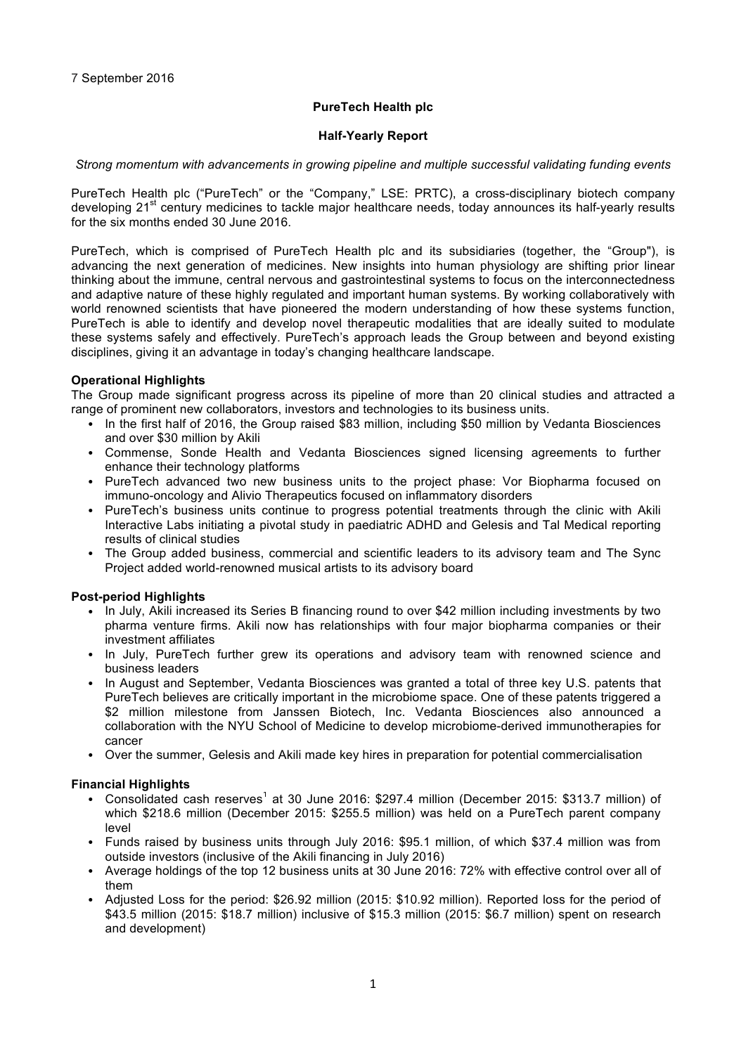# **PureTech Health plc**

# **Half-Yearly Report**

*Strong momentum with advancements in growing pipeline and multiple successful validating funding events* 

PureTech Health plc ("PureTech" or the "Company," LSE: PRTC), a cross-disciplinary biotech company developing 21<sup>st</sup> century medicines to tackle major healthcare needs, today announces its half-yearly results for the six months ended 30 June 2016.

PureTech, which is comprised of PureTech Health plc and its subsidiaries (together, the "Group"), is advancing the next generation of medicines. New insights into human physiology are shifting prior linear thinking about the immune, central nervous and gastrointestinal systems to focus on the interconnectedness and adaptive nature of these highly regulated and important human systems. By working collaboratively with world renowned scientists that have pioneered the modern understanding of how these systems function, PureTech is able to identify and develop novel therapeutic modalities that are ideally suited to modulate these systems safely and effectively. PureTech's approach leads the Group between and beyond existing disciplines, giving it an advantage in today's changing healthcare landscape.

# **Operational Highlights**

The Group made significant progress across its pipeline of more than 20 clinical studies and attracted a range of prominent new collaborators, investors and technologies to its business units.

- In the first half of 2016, the Group raised \$83 million, including \$50 million by Vedanta Biosciences and over \$30 million by Akili
- Commense, Sonde Health and Vedanta Biosciences signed licensing agreements to further enhance their technology platforms
- PureTech advanced two new business units to the project phase: Vor Biopharma focused on immuno-oncology and Alivio Therapeutics focused on inflammatory disorders
- PureTech's business units continue to progress potential treatments through the clinic with Akili Interactive Labs initiating a pivotal study in paediatric ADHD and Gelesis and Tal Medical reporting results of clinical studies
- The Group added business, commercial and scientific leaders to its advisory team and The Sync Project added world-renowned musical artists to its advisory board

# **Post-period Highlights**

- In July, Akili increased its Series B financing round to over \$42 million including investments by two pharma venture firms. Akili now has relationships with four major biopharma companies or their investment affiliates
- In July, PureTech further grew its operations and advisory team with renowned science and business leaders
- In August and September, Vedanta Biosciences was granted a total of three key U.S. patents that PureTech believes are critically important in the microbiome space. One of these patents triggered a \$2 million milestone from Janssen Biotech, Inc. Vedanta Biosciences also announced a collaboration with the NYU School of Medicine to develop microbiome-derived immunotherapies for cancer
- Over the summer, Gelesis and Akili made key hires in preparation for potential commercialisation

### **Financial Highlights**

- Consolidated cash reserves<sup>1</sup> at 30 June 2016: \$297.4 million (December 2015: \$313.7 million) of which \$218.6 million (December 2015: \$255.5 million) was held on a PureTech parent company level
- Funds raised by business units through July 2016: \$95.1 million, of which \$37.4 million was from outside investors (inclusive of the Akili financing in July 2016)
- Average holdings of the top 12 business units at 30 June 2016: 72% with effective control over all of them
- Adjusted Loss for the period: \$26.92 million (2015: \$10.92 million). Reported loss for the period of \$43.5 million (2015: \$18.7 million) inclusive of \$15.3 million (2015: \$6.7 million) spent on research and development)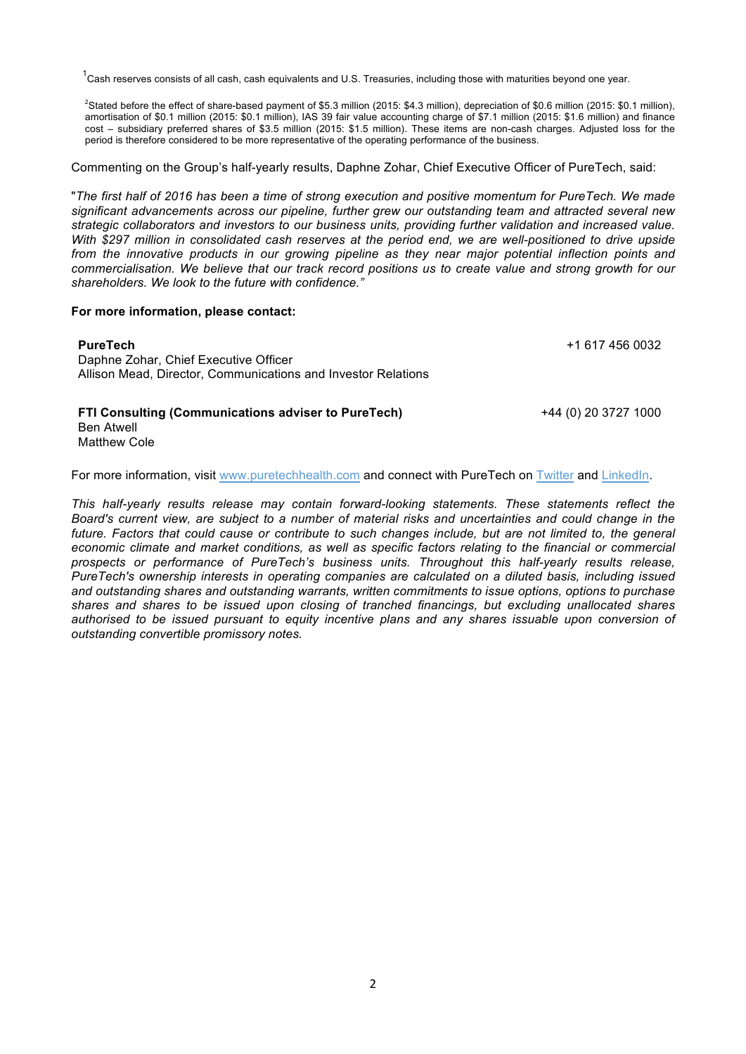$^{\text{1}}$ Cash reserves consists of all cash, cash equivalents and U.S. Treasuries, including those with maturities beyond one year.

2 Stated before the effect of share-based payment of \$5.3 million (2015: \$4.3 million), depreciation of \$0.6 million (2015: \$0.1 million), amortisation of \$0.1 million (2015: \$0.1 million), IAS 39 fair value accounting charge of \$7.1 million (2015: \$1.6 million) and finance cost – subsidiary preferred shares of \$3.5 million (2015: \$1.5 million). These items are non-cash charges. Adjusted loss for the period is therefore considered to be more representative of the operating performance of the business.

Commenting on the Group's half-yearly results, Daphne Zohar, Chief Executive Officer of PureTech, said:

"*The first half of 2016 has been a time of strong execution and positive momentum for PureTech. We made significant advancements across our pipeline, further grew our outstanding team and attracted several new strategic collaborators and investors to our business units, providing further validation and increased value. With \$297 million in consolidated cash reserves at the period end, we are well-positioned to drive upside from the innovative products in our growing pipeline as they near major potential inflection points and commercialisation. We believe that our track record positions us to create value and strong growth for our shareholders. We look to the future with confidence."*

### **For more information, please contact:**

+1 617 456 0032

+44 (0) 20 3727 1000

Daphne Zohar, Chief Executive Officer Allison Mead, Director, Communications and Investor Relations

# **FTI Consulting (Communications adviser to PureTech)**

Ben Atwell Matthew Cole

**PureTech**

For more information, visit www.puretechhealth.com and connect with PureTech on Twitter and LinkedIn.

*This half-yearly results release may contain forward-looking statements. These statements reflect the Board's current view, are subject to a number of material risks and uncertainties and could change in the future. Factors that could cause or contribute to such changes include, but are not limited to, the general economic climate and market conditions, as well as specific factors relating to the financial or commercial prospects or performance of PureTech's business units. Throughout this half-yearly results release, PureTech's ownership interests in operating companies are calculated on a diluted basis, including issued and outstanding shares and outstanding warrants, written commitments to issue options, options to purchase shares and shares to be issued upon closing of tranched financings, but excluding unallocated shares authorised to be issued pursuant to equity incentive plans and any shares issuable upon conversion of outstanding convertible promissory notes.*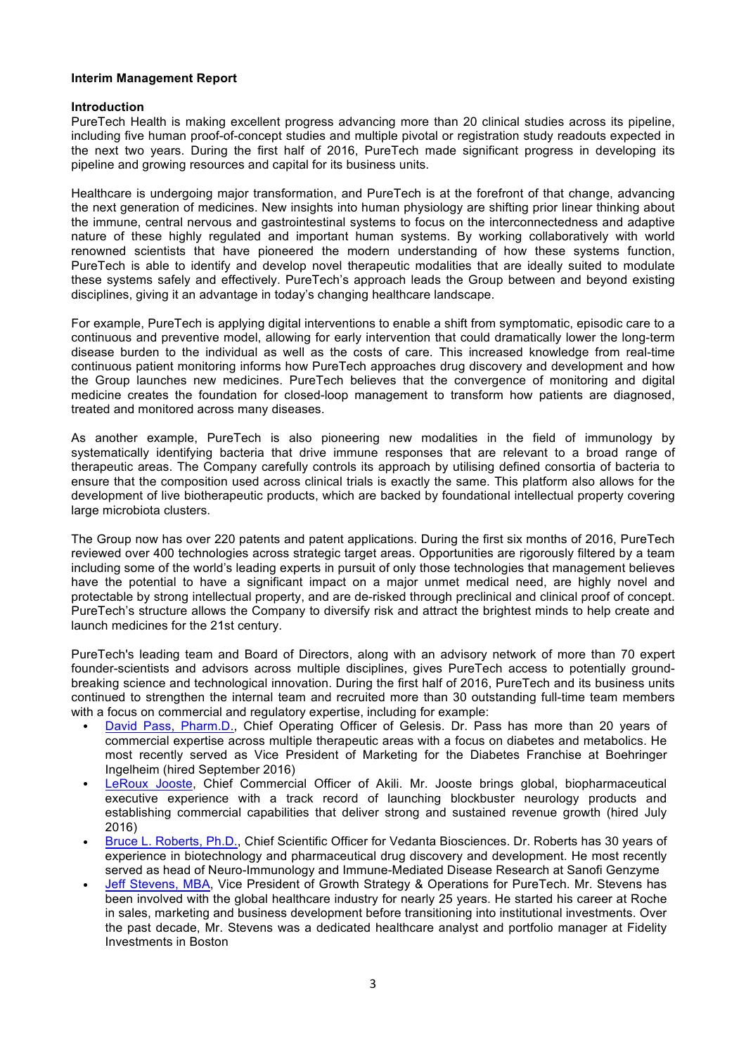### **Interim Management Report**

### **Introduction**

PureTech Health is making excellent progress advancing more than 20 clinical studies across its pipeline, including five human proof-of-concept studies and multiple pivotal or registration study readouts expected in the next two years. During the first half of 2016, PureTech made significant progress in developing its pipeline and growing resources and capital for its business units.

Healthcare is undergoing major transformation, and PureTech is at the forefront of that change, advancing the next generation of medicines. New insights into human physiology are shifting prior linear thinking about the immune, central nervous and gastrointestinal systems to focus on the interconnectedness and adaptive nature of these highly regulated and important human systems. By working collaboratively with world renowned scientists that have pioneered the modern understanding of how these systems function, PureTech is able to identify and develop novel therapeutic modalities that are ideally suited to modulate these systems safely and effectively. PureTech's approach leads the Group between and beyond existing disciplines, giving it an advantage in today's changing healthcare landscape.

For example, PureTech is applying digital interventions to enable a shift from symptomatic, episodic care to a continuous and preventive model, allowing for early intervention that could dramatically lower the long-term disease burden to the individual as well as the costs of care. This increased knowledge from real-time continuous patient monitoring informs how PureTech approaches drug discovery and development and how the Group launches new medicines. PureTech believes that the convergence of monitoring and digital medicine creates the foundation for closed-loop management to transform how patients are diagnosed, treated and monitored across many diseases.

As another example, PureTech is also pioneering new modalities in the field of immunology by systematically identifying bacteria that drive immune responses that are relevant to a broad range of therapeutic areas. The Company carefully controls its approach by utilising defined consortia of bacteria to ensure that the composition used across clinical trials is exactly the same. This platform also allows for the development of live biotherapeutic products, which are backed by foundational intellectual property covering large microbiota clusters.

The Group now has over 220 patents and patent applications. During the first six months of 2016, PureTech reviewed over 400 technologies across strategic target areas. Opportunities are rigorously filtered by a team including some of the world's leading experts in pursuit of only those technologies that management believes have the potential to have a significant impact on a major unmet medical need, are highly novel and protectable by strong intellectual property, and are de-risked through preclinical and clinical proof of concept. PureTech's structure allows the Company to diversify risk and attract the brightest minds to help create and launch medicines for the 21st century.

PureTech's leading team and Board of Directors, along with an advisory network of more than 70 expert founder-scientists and advisors across multiple disciplines, gives PureTech access to potentially groundbreaking science and technological innovation. During the first half of 2016, PureTech and its business units continued to strengthen the internal team and recruited more than 30 outstanding full-time team members with a focus on commercial and regulatory expertise, including for example:

- David Pass, Pharm.D., Chief Operating Officer of Gelesis. Dr. Pass has more than 20 years of commercial expertise across multiple therapeutic areas with a focus on diabetes and metabolics. He most recently served as Vice President of Marketing for the Diabetes Franchise at Boehringer Ingelheim (hired September 2016)
- LeRoux Jooste, Chief Commercial Officer of Akili. Mr. Jooste brings global, biopharmaceutical executive experience with a track record of launching blockbuster neurology products and establishing commercial capabilities that deliver strong and sustained revenue growth (hired July 2016)
- Bruce L. Roberts, Ph.D., Chief Scientific Officer for Vedanta Biosciences. Dr. Roberts has 30 years of experience in biotechnology and pharmaceutical drug discovery and development. He most recently served as head of Neuro-Immunology and Immune-Mediated Disease Research at Sanofi Genzyme
- Jeff Stevens, MBA, Vice President of Growth Strategy & Operations for PureTech. Mr. Stevens has been involved with the global healthcare industry for nearly 25 years. He started his career at Roche in sales, marketing and business development before transitioning into institutional investments. Over the past decade, Mr. Stevens was a dedicated healthcare analyst and portfolio manager at Fidelity Investments in Boston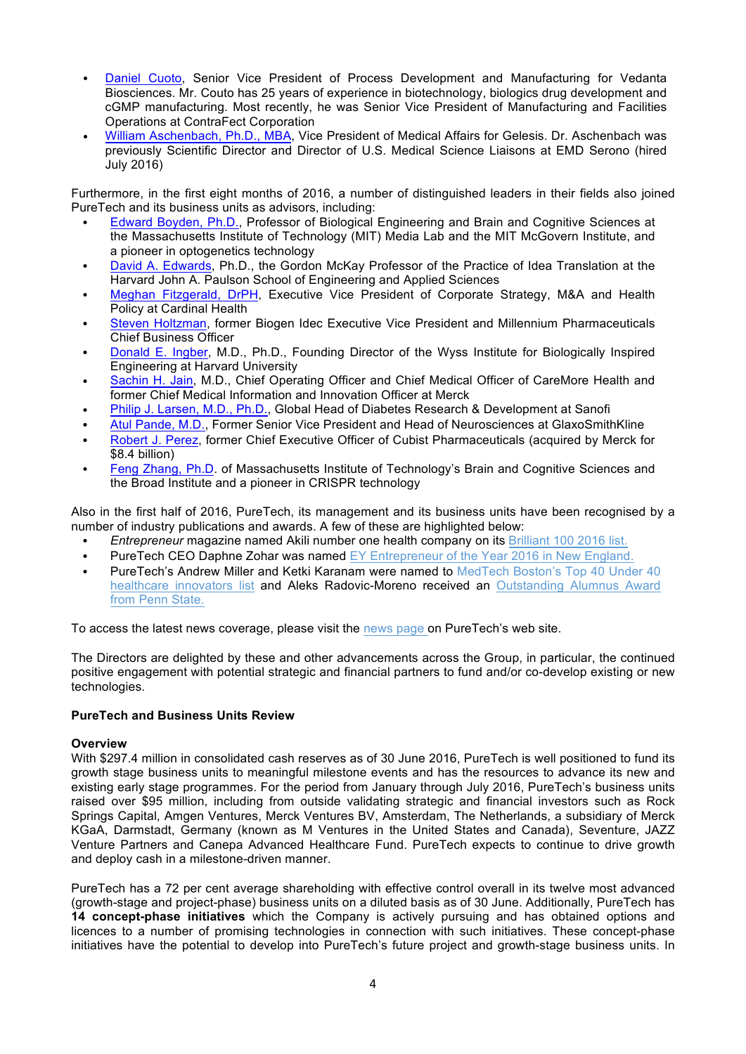- Daniel Cuoto, Senior Vice President of Process Development and Manufacturing for Vedanta Biosciences. Mr. Couto has 25 years of experience in biotechnology, biologics drug development and cGMP manufacturing. Most recently, he was Senior Vice President of Manufacturing and Facilities Operations at ContraFect Corporation
- William Aschenbach, Ph.D., MBA, Vice President of Medical Affairs for Gelesis. Dr. Aschenbach was previously Scientific Director and Director of U.S. Medical Science Liaisons at EMD Serono (hired July 2016)

Furthermore, in the first eight months of 2016, a number of distinguished leaders in their fields also joined PureTech and its business units as advisors, including:

- Edward Boyden, Ph.D., Professor of Biological Engineering and Brain and Cognitive Sciences at the Massachusetts Institute of Technology (MIT) Media Lab and the MIT McGovern Institute, and a pioneer in optogenetics technology
- David A. Edwards, Ph.D., the Gordon McKay Professor of the Practice of Idea Translation at the Harvard John A. Paulson School of Engineering and Applied Sciences
- Meghan Fitzgerald, DrPH, Executive Vice President of Corporate Strategy, M&A and Health Policy at Cardinal Health
- Steven Holtzman, former Biogen Idec Executive Vice President and Millennium Pharmaceuticals Chief Business Officer
- Donald E. Ingber, M.D., Ph.D., Founding Director of the Wyss Institute for Biologically Inspired Engineering at Harvard University
- Sachin H. Jain, M.D., Chief Operating Officer and Chief Medical Officer of CareMore Health and former Chief Medical Information and Innovation Officer at Merck
- Philip J. Larsen, M.D., Ph.D., Global Head of Diabetes Research & Development at Sanofi
- Atul Pande, M.D., Former Senior Vice President and Head of Neurosciences at GlaxoSmithKline
- Robert J. Perez, former Chief Executive Officer of Cubist Pharmaceuticals (acquired by Merck for \$8.4 billion)
- Feng Zhang, Ph.D. of Massachusetts Institute of Technology's Brain and Cognitive Sciences and the Broad Institute and a pioneer in CRISPR technology

Also in the first half of 2016, PureTech, its management and its business units have been recognised by a number of industry publications and awards. A few of these are highlighted below:

- *Entrepreneur* magazine named Akili number one health company on its Brilliant 100 2016 list.
- PureTech CEO Daphne Zohar was named EY Entrepreneur of the Year 2016 in New England.
- PureTech's Andrew Miller and Ketki Karanam were named to MedTech Boston's Top 40 Under 40 healthcare innovators list and Aleks Radovic-Moreno received an Outstanding Alumnus Award from Penn State.

To access the latest news coverage, please visit the news page on PureTech's web site.

The Directors are delighted by these and other advancements across the Group, in particular, the continued positive engagement with potential strategic and financial partners to fund and/or co-develop existing or new technologies.

# **PureTech and Business Units Review**

### **Overview**

With \$297.4 million in consolidated cash reserves as of 30 June 2016, PureTech is well positioned to fund its growth stage business units to meaningful milestone events and has the resources to advance its new and existing early stage programmes. For the period from January through July 2016, PureTech's business units raised over \$95 million, including from outside validating strategic and financial investors such as Rock Springs Capital, Amgen Ventures, Merck Ventures BV, Amsterdam, The Netherlands, a subsidiary of Merck KGaA, Darmstadt, Germany (known as M Ventures in the United States and Canada), Seventure, JAZZ Venture Partners and Canepa Advanced Healthcare Fund. PureTech expects to continue to drive growth and deploy cash in a milestone-driven manner.

PureTech has a 72 per cent average shareholding with effective control overall in its twelve most advanced (growth-stage and project-phase) business units on a diluted basis as of 30 June. Additionally, PureTech has **14 concept-phase initiatives** which the Company is actively pursuing and has obtained options and licences to a number of promising technologies in connection with such initiatives. These concept-phase initiatives have the potential to develop into PureTech's future project and growth-stage business units. In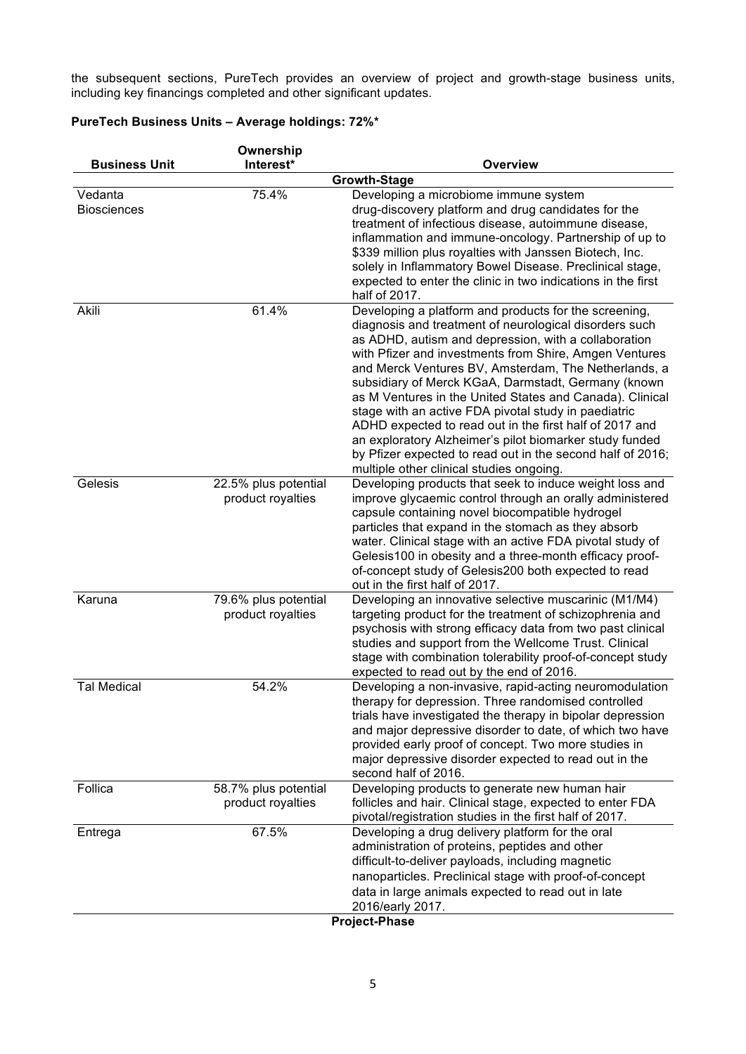the subsequent sections, PureTech provides an overview of project and growth-stage business units, including key financings completed and other significant updates.

# **PureTech Business Units – Average holdings: 72%\***

|                               | Ownership                                 |                                                                                                                                                                                                                                                                                                                                                                                                                                                                                                                                                                                                                                                                                                      |
|-------------------------------|-------------------------------------------|------------------------------------------------------------------------------------------------------------------------------------------------------------------------------------------------------------------------------------------------------------------------------------------------------------------------------------------------------------------------------------------------------------------------------------------------------------------------------------------------------------------------------------------------------------------------------------------------------------------------------------------------------------------------------------------------------|
| <b>Business Unit</b>          | Interest*                                 | <b>Overview</b>                                                                                                                                                                                                                                                                                                                                                                                                                                                                                                                                                                                                                                                                                      |
|                               |                                           | <b>Growth-Stage</b>                                                                                                                                                                                                                                                                                                                                                                                                                                                                                                                                                                                                                                                                                  |
| Vedanta<br><b>Biosciences</b> | 75.4%                                     | Developing a microbiome immune system<br>drug-discovery platform and drug candidates for the<br>treatment of infectious disease, autoimmune disease,<br>inflammation and immune-oncology. Partnership of up to<br>\$339 million plus royalties with Janssen Biotech, Inc.<br>solely in Inflammatory Bowel Disease. Preclinical stage,<br>expected to enter the clinic in two indications in the first<br>half of 2017.                                                                                                                                                                                                                                                                               |
| Akili                         | 61.4%                                     | Developing a platform and products for the screening,<br>diagnosis and treatment of neurological disorders such<br>as ADHD, autism and depression, with a collaboration<br>with Pfizer and investments from Shire, Amgen Ventures<br>and Merck Ventures BV, Amsterdam, The Netherlands, a<br>subsidiary of Merck KGaA, Darmstadt, Germany (known<br>as M Ventures in the United States and Canada). Clinical<br>stage with an active FDA pivotal study in paediatric<br>ADHD expected to read out in the first half of 2017 and<br>an exploratory Alzheimer's pilot biomarker study funded<br>by Pfizer expected to read out in the second half of 2016;<br>multiple other clinical studies ongoing. |
| Gelesis                       | 22.5% plus potential<br>product royalties | Developing products that seek to induce weight loss and<br>improve glycaemic control through an orally administered<br>capsule containing novel biocompatible hydrogel<br>particles that expand in the stomach as they absorb<br>water. Clinical stage with an active FDA pivotal study of<br>Gelesis100 in obesity and a three-month efficacy proof-<br>of-concept study of Gelesis200 both expected to read<br>out in the first half of 2017.                                                                                                                                                                                                                                                      |
| Karuna                        | 79.6% plus potential<br>product royalties | Developing an innovative selective muscarinic (M1/M4)<br>targeting product for the treatment of schizophrenia and<br>psychosis with strong efficacy data from two past clinical<br>studies and support from the Wellcome Trust. Clinical<br>stage with combination tolerability proof-of-concept study<br>expected to read out by the end of 2016.                                                                                                                                                                                                                                                                                                                                                   |
| <b>Tal Medical</b>            | 54.2%                                     | Developing a non-invasive, rapid-acting neuromodulation<br>therapy for depression. Three randomised controlled<br>trials have investigated the therapy in bipolar depression<br>and major depressive disorder to date, of which two have<br>provided early proof of concept. Two more studies in<br>major depressive disorder expected to read out in the<br>second half of 2016.                                                                                                                                                                                                                                                                                                                    |
| Follica                       | 58.7% plus potential<br>product royalties | Developing products to generate new human hair<br>follicles and hair. Clinical stage, expected to enter FDA<br>pivotal/registration studies in the first half of 2017.                                                                                                                                                                                                                                                                                                                                                                                                                                                                                                                               |
| Entrega                       | 67.5%                                     | Developing a drug delivery platform for the oral<br>administration of proteins, peptides and other<br>difficult-to-deliver payloads, including magnetic<br>nanoparticles. Preclinical stage with proof-of-concept<br>data in large animals expected to read out in late<br>2016/early 2017.<br><b>Project-Phase</b>                                                                                                                                                                                                                                                                                                                                                                                  |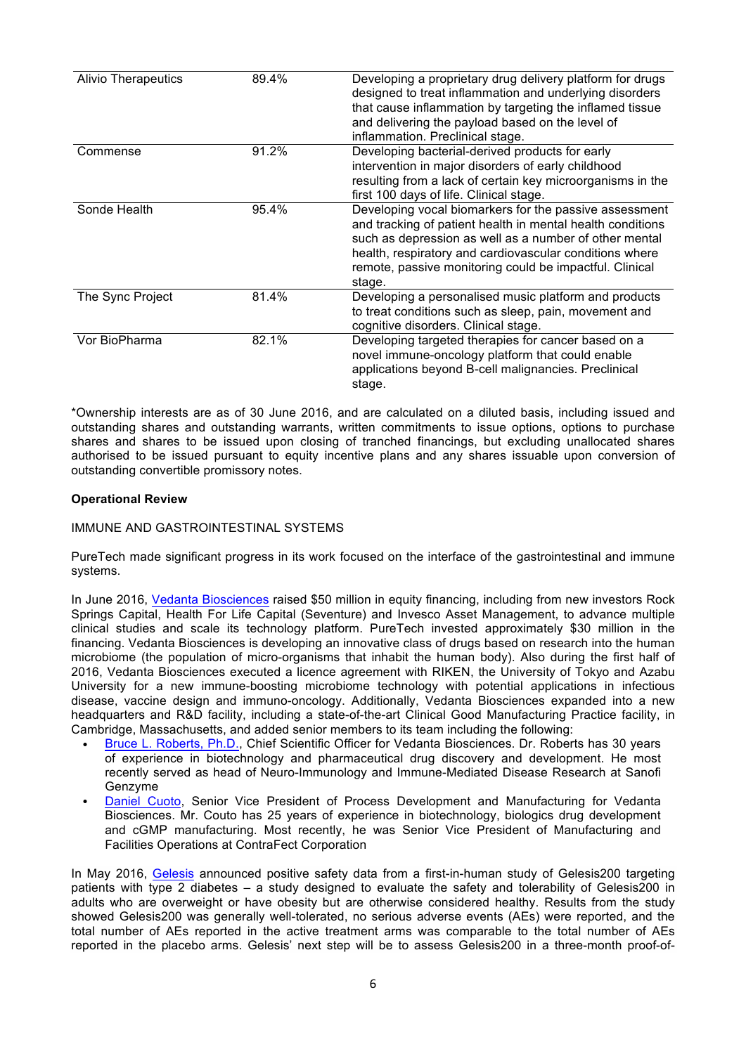| <b>Alivio Therapeutics</b> | 89.4% | Developing a proprietary drug delivery platform for drugs<br>designed to treat inflammation and underlying disorders<br>that cause inflammation by targeting the inflamed tissue<br>and delivering the payload based on the level of<br>inflammation. Preclinical stage.                                       |
|----------------------------|-------|----------------------------------------------------------------------------------------------------------------------------------------------------------------------------------------------------------------------------------------------------------------------------------------------------------------|
| Commense                   | 91.2% | Developing bacterial-derived products for early<br>intervention in major disorders of early childhood<br>resulting from a lack of certain key microorganisms in the<br>first 100 days of life. Clinical stage.                                                                                                 |
| Sonde Health               | 95.4% | Developing vocal biomarkers for the passive assessment<br>and tracking of patient health in mental health conditions<br>such as depression as well as a number of other mental<br>health, respiratory and cardiovascular conditions where<br>remote, passive monitoring could be impactful. Clinical<br>stage. |
| The Sync Project           | 81.4% | Developing a personalised music platform and products<br>to treat conditions such as sleep, pain, movement and<br>cognitive disorders. Clinical stage.                                                                                                                                                         |
| Vor BioPharma              | 82.1% | Developing targeted therapies for cancer based on a<br>novel immune-oncology platform that could enable<br>applications beyond B-cell malignancies. Preclinical<br>stage.                                                                                                                                      |

\*Ownership interests are as of 30 June 2016, and are calculated on a diluted basis, including issued and outstanding shares and outstanding warrants, written commitments to issue options, options to purchase shares and shares to be issued upon closing of tranched financings, but excluding unallocated shares authorised to be issued pursuant to equity incentive plans and any shares issuable upon conversion of outstanding convertible promissory notes.

# **Operational Review**

### IMMUNE AND GASTROINTESTINAL SYSTEMS

PureTech made significant progress in its work focused on the interface of the gastrointestinal and immune systems.

In June 2016, Vedanta Biosciences raised \$50 million in equity financing, including from new investors Rock Springs Capital, Health For Life Capital (Seventure) and Invesco Asset Management, to advance multiple clinical studies and scale its technology platform. PureTech invested approximately \$30 million in the financing. Vedanta Biosciences is developing an innovative class of drugs based on research into the human microbiome (the population of micro-organisms that inhabit the human body). Also during the first half of 2016, Vedanta Biosciences executed a licence agreement with RIKEN, the University of Tokyo and Azabu University for a new immune-boosting microbiome technology with potential applications in infectious disease, vaccine design and immuno-oncology. Additionally, Vedanta Biosciences expanded into a new headquarters and R&D facility, including a state-of-the-art Clinical Good Manufacturing Practice facility, in Cambridge, Massachusetts, and added senior members to its team including the following:

- Bruce L. Roberts, Ph.D., Chief Scientific Officer for Vedanta Biosciences. Dr. Roberts has 30 years of experience in biotechnology and pharmaceutical drug discovery and development. He most recently served as head of Neuro-Immunology and Immune-Mediated Disease Research at Sanofi Genzyme
- Daniel Cuoto, Senior Vice President of Process Development and Manufacturing for Vedanta Biosciences. Mr. Couto has 25 years of experience in biotechnology, biologics drug development and cGMP manufacturing. Most recently, he was Senior Vice President of Manufacturing and Facilities Operations at ContraFect Corporation

In May 2016, Gelesis announced positive safety data from a first-in-human study of Gelesis200 targeting patients with type 2 diabetes – a study designed to evaluate the safety and tolerability of Gelesis200 in adults who are overweight or have obesity but are otherwise considered healthy. Results from the study showed Gelesis200 was generally well-tolerated, no serious adverse events (AEs) were reported, and the total number of AEs reported in the active treatment arms was comparable to the total number of AEs reported in the placebo arms. Gelesis' next step will be to assess Gelesis200 in a three-month proof-of-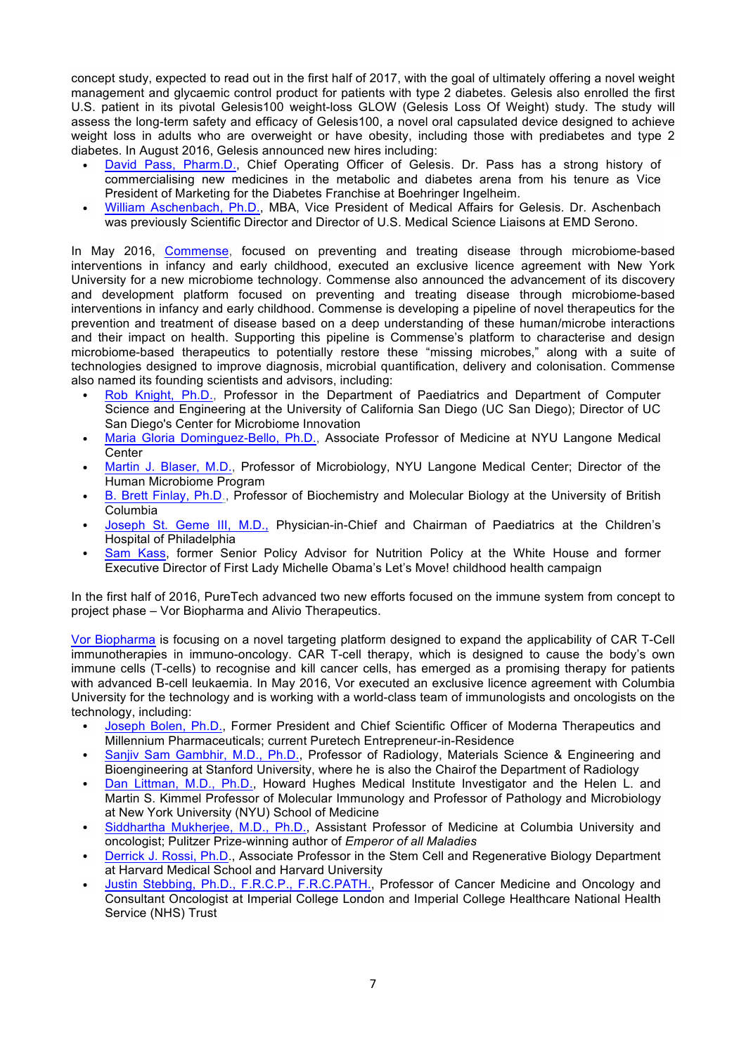concept study, expected to read out in the first half of 2017, with the goal of ultimately offering a novel weight management and glycaemic control product for patients with type 2 diabetes. Gelesis also enrolled the first U.S. patient in its pivotal Gelesis100 weight-loss GLOW (Gelesis Loss Of Weight) study. The study will assess the long-term safety and efficacy of Gelesis100, a novel oral capsulated device designed to achieve weight loss in adults who are overweight or have obesity, including those with prediabetes and type 2 diabetes. In August 2016, Gelesis announced new hires including:

- David Pass, Pharm.D., Chief Operating Officer of Gelesis. Dr. Pass has a strong history of commercialising new medicines in the metabolic and diabetes arena from his tenure as Vice President of Marketing for the Diabetes Franchise at Boehringer Ingelheim.
- William Aschenbach, Ph.D., MBA, Vice President of Medical Affairs for Gelesis. Dr. Aschenbach was previously Scientific Director and Director of U.S. Medical Science Liaisons at EMD Serono.

In May 2016, Commense, focused on preventing and treating disease through microbiome-based interventions in infancy and early childhood, executed an exclusive licence agreement with New York University for a new microbiome technology. Commense also announced the advancement of its discovery and development platform focused on preventing and treating disease through microbiome-based interventions in infancy and early childhood. Commense is developing a pipeline of novel therapeutics for the prevention and treatment of disease based on a deep understanding of these human/microbe interactions and their impact on health. Supporting this pipeline is Commense's platform to characterise and design microbiome-based therapeutics to potentially restore these "missing microbes," along with a suite of technologies designed to improve diagnosis, microbial quantification, delivery and colonisation. Commense also named its founding scientists and advisors, including:

- Rob Knight, Ph.D., Professor in the Department of Paediatrics and Department of Computer Science and Engineering at the University of California San Diego (UC San Diego); Director of UC San Diego's Center for Microbiome Innovation
- Maria Gloria Dominguez-Bello, Ph.D., Associate Professor of Medicine at NYU Langone Medical **Center**
- Martin J. Blaser, M.D., Professor of Microbiology, NYU Langone Medical Center; Director of the Human Microbiome Program
- B. Brett Finlay, Ph.D., Professor of Biochemistry and Molecular Biology at the University of British Columbia
- Joseph St. Geme III, M.D., Physician-in-Chief and Chairman of Paediatrics at the Children's Hospital of Philadelphia
- Sam Kass, former Senior Policy Advisor for Nutrition Policy at the White House and former Executive Director of First Lady Michelle Obama's Let's Move! childhood health campaign

In the first half of 2016, PureTech advanced two new efforts focused on the immune system from concept to project phase – Vor Biopharma and Alivio Therapeutics.

Vor Biopharma is focusing on a novel targeting platform designed to expand the applicability of CAR T-Cell immunotherapies in immuno-oncology. CAR T-cell therapy, which is designed to cause the body's own immune cells (T-cells) to recognise and kill cancer cells, has emerged as a promising therapy for patients with advanced B-cell leukaemia. In May 2016, Vor executed an exclusive licence agreement with Columbia University for the technology and is working with a world-class team of immunologists and oncologists on the technology, including:

- Joseph Bolen, Ph.D., Former President and Chief Scientific Officer of Moderna Therapeutics and Millennium Pharmaceuticals; current Puretech Entrepreneur-in-Residence
- Sanjiv Sam Gambhir, M.D., Ph.D., Professor of Radiology, Materials Science & Engineering and Bioengineering at Stanford University, where he is also the Chairof the Department of Radiology
- Dan Littman, M.D., Ph.D., Howard Hughes Medical Institute Investigator and the Helen L. and Martin S. Kimmel Professor of Molecular Immunology and Professor of Pathology and Microbiology at New York University (NYU) School of Medicine
- Siddhartha Mukherjee, M.D., Ph.D., Assistant Professor of Medicine at Columbia University and oncologist; Pulitzer Prize-winning author of *Emperor of all Maladies*
- Derrick J. Rossi, Ph.D., Associate Professor in the Stem Cell and Regenerative Biology Department at Harvard Medical School and Harvard University
- Justin Stebbing, Ph.D., F.R.C.P., F.R.C.PATH., Professor of Cancer Medicine and Oncology and Consultant Oncologist at Imperial College London and Imperial College Healthcare National Health Service (NHS) Trust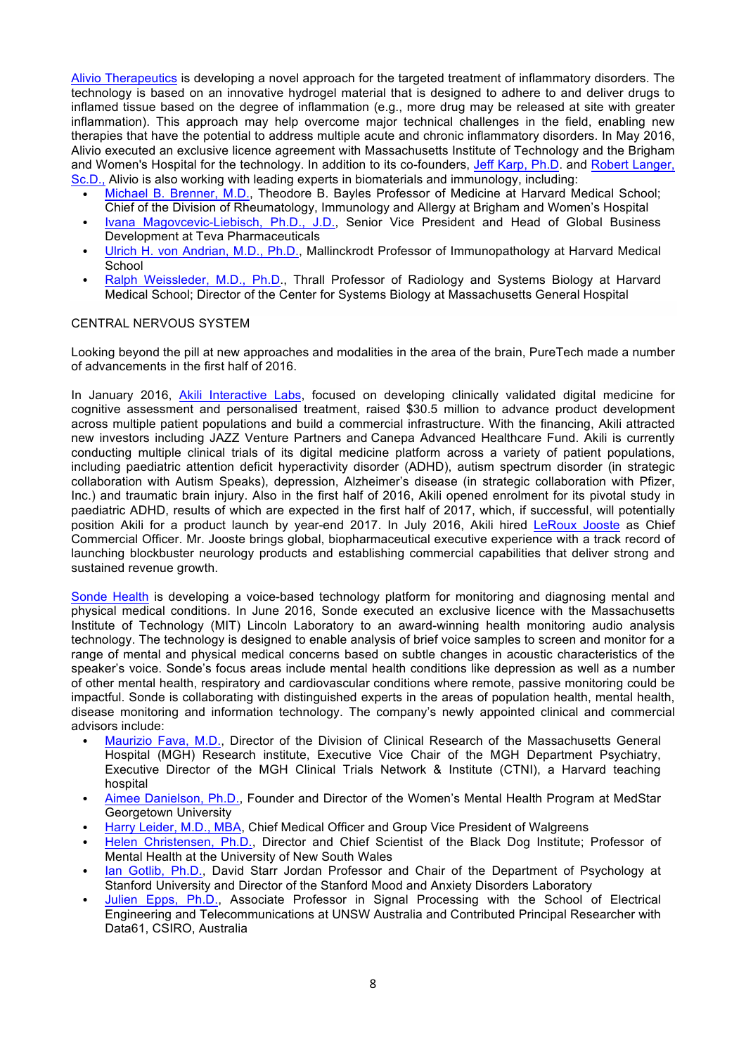Alivio Therapeutics is developing a novel approach for the targeted treatment of inflammatory disorders. The technology is based on an innovative hydrogel material that is designed to adhere to and deliver drugs to inflamed tissue based on the degree of inflammation (e.g., more drug may be released at site with greater inflammation). This approach may help overcome major technical challenges in the field, enabling new therapies that have the potential to address multiple acute and chronic inflammatory disorders. In May 2016, Alivio executed an exclusive licence agreement with Massachusetts Institute of Technology and the Brigham and Women's Hospital for the technology. In addition to its co-founders, Jeff Karp, Ph.D. and Robert Langer, Sc.D., Alivio is also working with leading experts in biomaterials and immunology, including:

- Michael B. Brenner, M.D., Theodore B. Bayles Professor of Medicine at Harvard Medical School; Chief of the Division of Rheumatology, Immunology and Allergy at Brigham and Women's Hospital
- Ivana Magovcevic-Liebisch, Ph.D., J.D., Senior Vice President and Head of Global Business Development at Teva Pharmaceuticals
- Ulrich H. von Andrian, M.D., Ph.D., Mallinckrodt Professor of Immunopathology at Harvard Medical School
- Ralph Weissleder, M.D., Ph.D., Thrall Professor of Radiology and Systems Biology at Harvard Medical School; Director of the Center for Systems Biology at Massachusetts General Hospital

# CENTRAL NERVOUS SYSTEM

Looking beyond the pill at new approaches and modalities in the area of the brain, PureTech made a number of advancements in the first half of 2016.

In January 2016, Akili Interactive Labs, focused on developing clinically validated digital medicine for cognitive assessment and personalised treatment, raised \$30.5 million to advance product development across multiple patient populations and build a commercial infrastructure. With the financing, Akili attracted new investors including JAZZ Venture Partners and Canepa Advanced Healthcare Fund. Akili is currently conducting multiple clinical trials of its digital medicine platform across a variety of patient populations, including paediatric attention deficit hyperactivity disorder (ADHD), autism spectrum disorder (in strategic collaboration with Autism Speaks), depression, Alzheimer's disease (in strategic collaboration with Pfizer, Inc.) and traumatic brain injury. Also in the first half of 2016, Akili opened enrolment for its pivotal study in paediatric ADHD, results of which are expected in the first half of 2017, which, if successful, will potentially position Akili for a product launch by year-end 2017. In July 2016, Akili hired LeRoux Jooste as Chief Commercial Officer. Mr. Jooste brings global, biopharmaceutical executive experience with a track record of launching blockbuster neurology products and establishing commercial capabilities that deliver strong and sustained revenue growth.

Sonde Health is developing a voice-based technology platform for monitoring and diagnosing mental and physical medical conditions. In June 2016, Sonde executed an exclusive licence with the Massachusetts Institute of Technology (MIT) Lincoln Laboratory to an award-winning health monitoring audio analysis technology. The technology is designed to enable analysis of brief voice samples to screen and monitor for a range of mental and physical medical concerns based on subtle changes in acoustic characteristics of the speaker's voice. Sonde's focus areas include mental health conditions like depression as well as a number of other mental health, respiratory and cardiovascular conditions where remote, passive monitoring could be impactful. Sonde is collaborating with distinguished experts in the areas of population health, mental health, disease monitoring and information technology. The company's newly appointed clinical and commercial advisors include:

- Maurizio Fava, M.D., Director of the Division of Clinical Research of the Massachusetts General Hospital (MGH) Research institute, Executive Vice Chair of the MGH Department Psychiatry, Executive Director of the MGH Clinical Trials Network & Institute (CTNI), a Harvard teaching hospital
- Aimee Danielson, Ph.D., Founder and Director of the Women's Mental Health Program at MedStar Georgetown University
- Harry Leider, M.D., MBA, Chief Medical Officer and Group Vice President of Walgreens
- Helen Christensen, Ph.D., Director and Chief Scientist of the Black Dog Institute; Professor of Mental Health at the University of New South Wales
- Ian Gotlib, Ph.D., David Starr Jordan Professor and Chair of the Department of Psychology at Stanford University and Director of the Stanford Mood and Anxiety Disorders Laboratory
- Julien Epps, Ph.D., Associate Professor in Signal Processing with the School of Electrical Engineering and Telecommunications at UNSW Australia and Contributed Principal Researcher with Data61, CSIRO, Australia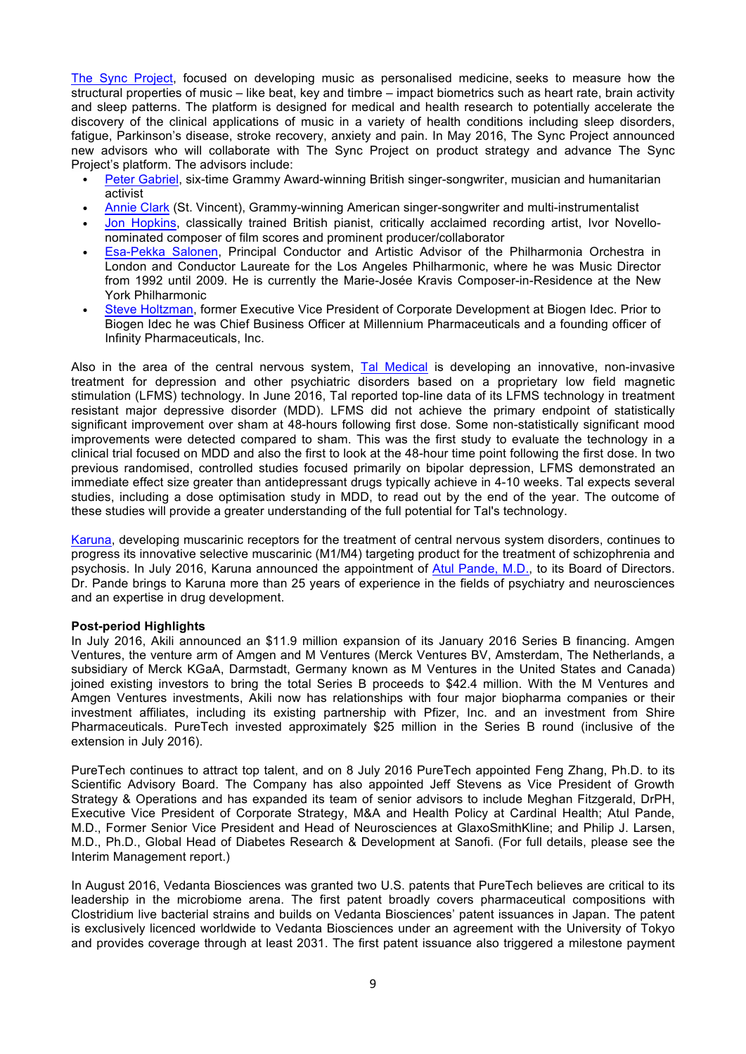The Sync Project, focused on developing music as personalised medicine, seeks to measure how the structural properties of music – like beat, key and timbre – impact biometrics such as heart rate, brain activity and sleep patterns. The platform is designed for medical and health research to potentially accelerate the discovery of the clinical applications of music in a variety of health conditions including sleep disorders, fatigue, Parkinson's disease, stroke recovery, anxiety and pain. In May 2016, The Sync Project announced new advisors who will collaborate with The Sync Project on product strategy and advance The Sync Project's platform. The advisors include:

- Peter Gabriel, six-time Grammy Award-winning British singer-songwriter, musician and humanitarian activist
- Annie Clark (St. Vincent), Grammy-winning American singer-songwriter and multi-instrumentalist
- Jon Hopkins, classically trained British pianist, critically acclaimed recording artist, Ivor Novellonominated composer of film scores and prominent producer/collaborator
- Esa-Pekka Salonen, Principal Conductor and Artistic Advisor of the Philharmonia Orchestra in London and Conductor Laureate for the Los Angeles Philharmonic, where he was Music Director from 1992 until 2009. He is currently the Marie-Josée Kravis Composer-in-Residence at the New York Philharmonic
- Steve Holtzman, former Executive Vice President of Corporate Development at Biogen Idec. Prior to Biogen Idec he was Chief Business Officer at Millennium Pharmaceuticals and a founding officer of Infinity Pharmaceuticals, Inc.

Also in the area of the central nervous system, Tal Medical is developing an innovative, non-invasive treatment for depression and other psychiatric disorders based on a proprietary low field magnetic stimulation (LFMS) technology. In June 2016, Tal reported top-line data of its LFMS technology in treatment resistant major depressive disorder (MDD). LFMS did not achieve the primary endpoint of statistically significant improvement over sham at 48-hours following first dose. Some non-statistically significant mood improvements were detected compared to sham. This was the first study to evaluate the technology in a clinical trial focused on MDD and also the first to look at the 48-hour time point following the first dose. In two previous randomised, controlled studies focused primarily on bipolar depression, LFMS demonstrated an immediate effect size greater than antidepressant drugs typically achieve in 4-10 weeks. Tal expects several studies, including a dose optimisation study in MDD, to read out by the end of the year. The outcome of these studies will provide a greater understanding of the full potential for Tal's technology.

Karuna, developing muscarinic receptors for the treatment of central nervous system disorders, continues to progress its innovative selective muscarinic (M1/M4) targeting product for the treatment of schizophrenia and psychosis. In July 2016, Karuna announced the appointment of Atul Pande, M.D., to its Board of Directors. Dr. Pande brings to Karuna more than 25 years of experience in the fields of psychiatry and neurosciences and an expertise in drug development.

### **Post-period Highlights**

In July 2016, Akili announced an \$11.9 million expansion of its January 2016 Series B financing. Amgen Ventures, the venture arm of Amgen and M Ventures (Merck Ventures BV, Amsterdam, The Netherlands, a subsidiary of Merck KGaA, Darmstadt, Germany known as M Ventures in the United States and Canada) joined existing investors to bring the total Series B proceeds to \$42.4 million. With the M Ventures and Amgen Ventures investments, Akili now has relationships with four major biopharma companies or their investment affiliates, including its existing partnership with Pfizer, Inc. and an investment from Shire Pharmaceuticals. PureTech invested approximately \$25 million in the Series B round (inclusive of the extension in July 2016).

PureTech continues to attract top talent, and on 8 July 2016 PureTech appointed Feng Zhang, Ph.D. to its Scientific Advisory Board. The Company has also appointed Jeff Stevens as Vice President of Growth Strategy & Operations and has expanded its team of senior advisors to include Meghan Fitzgerald, DrPH, Executive Vice President of Corporate Strategy, M&A and Health Policy at Cardinal Health; Atul Pande, M.D., Former Senior Vice President and Head of Neurosciences at GlaxoSmithKline; and Philip J. Larsen, M.D., Ph.D., Global Head of Diabetes Research & Development at Sanofi. (For full details, please see the Interim Management report.)

In August 2016, Vedanta Biosciences was granted two U.S. patents that PureTech believes are critical to its leadership in the microbiome arena. The first patent broadly covers pharmaceutical compositions with Clostridium live bacterial strains and builds on Vedanta Biosciences' patent issuances in Japan. The patent is exclusively licenced worldwide to Vedanta Biosciences under an agreement with the University of Tokyo and provides coverage through at least 2031. The first patent issuance also triggered a milestone payment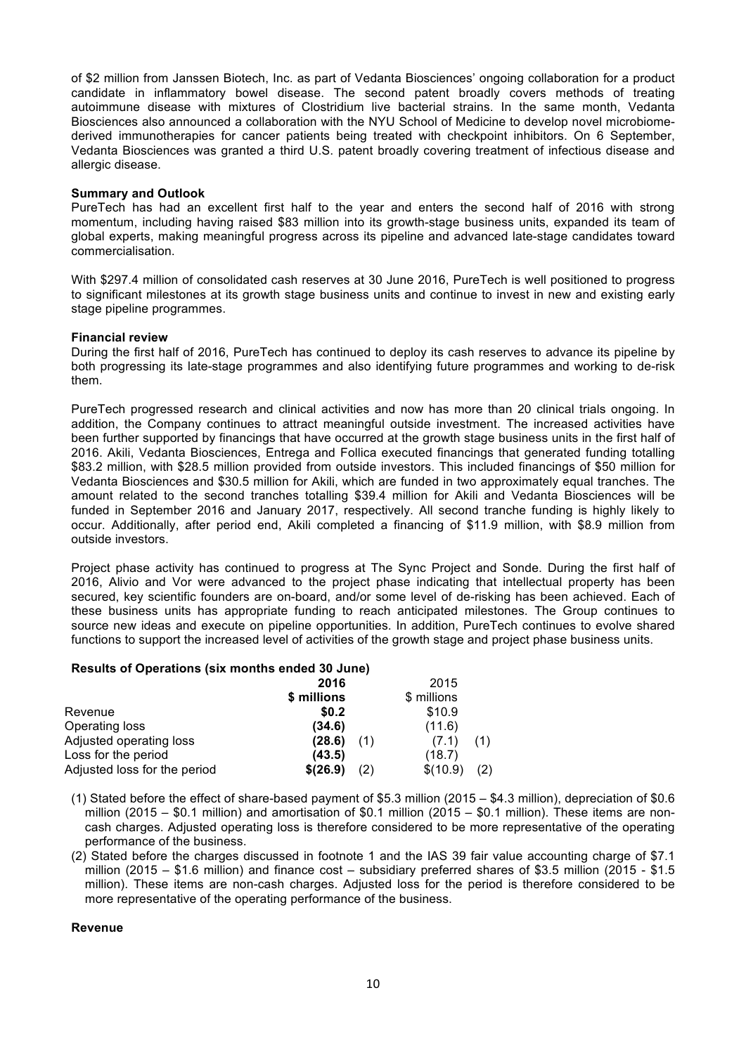of \$2 million from Janssen Biotech, Inc. as part of Vedanta Biosciences' ongoing collaboration for a product candidate in inflammatory bowel disease. The second patent broadly covers methods of treating autoimmune disease with mixtures of Clostridium live bacterial strains. In the same month, Vedanta Biosciences also announced a collaboration with the NYU School of Medicine to develop novel microbiomederived immunotherapies for cancer patients being treated with checkpoint inhibitors. On 6 September, Vedanta Biosciences was granted a third U.S. patent broadly covering treatment of infectious disease and allergic disease.

### **Summary and Outlook**

PureTech has had an excellent first half to the year and enters the second half of 2016 with strong momentum, including having raised \$83 million into its growth-stage business units, expanded its team of global experts, making meaningful progress across its pipeline and advanced late-stage candidates toward commercialisation.

With \$297.4 million of consolidated cash reserves at 30 June 2016, PureTech is well positioned to progress to significant milestones at its growth stage business units and continue to invest in new and existing early stage pipeline programmes.

### **Financial review**

During the first half of 2016, PureTech has continued to deploy its cash reserves to advance its pipeline by both progressing its late-stage programmes and also identifying future programmes and working to de-risk them.

PureTech progressed research and clinical activities and now has more than 20 clinical trials ongoing. In addition, the Company continues to attract meaningful outside investment. The increased activities have been further supported by financings that have occurred at the growth stage business units in the first half of 2016. Akili, Vedanta Biosciences, Entrega and Follica executed financings that generated funding totalling \$83.2 million, with \$28.5 million provided from outside investors. This included financings of \$50 million for Vedanta Biosciences and \$30.5 million for Akili, which are funded in two approximately equal tranches. The amount related to the second tranches totalling \$39.4 million for Akili and Vedanta Biosciences will be funded in September 2016 and January 2017, respectively. All second tranche funding is highly likely to occur. Additionally, after period end, Akili completed a financing of \$11.9 million, with \$8.9 million from outside investors.

Project phase activity has continued to progress at The Sync Project and Sonde. During the first half of 2016, Alivio and Vor were advanced to the project phase indicating that intellectual property has been secured, key scientific founders are on-board, and/or some level of de-risking has been achieved. Each of these business units has appropriate funding to reach anticipated milestones. The Group continues to source new ideas and execute on pipeline opportunities. In addition, PureTech continues to evolve shared functions to support the increased level of activities of the growth stage and project phase business units.

### **Results of Operations (six months ended 30 June)**

|                              | 2016        |     | 2015        |     |
|------------------------------|-------------|-----|-------------|-----|
|                              | \$ millions |     | \$ millions |     |
| Revenue                      | \$0.2       |     | \$10.9      |     |
| Operating loss               | (34.6)      |     | (11.6)      |     |
| Adjusted operating loss      | (28.6)      | (1) | (7.1)       | (1) |
| Loss for the period          | (43.5)      |     | (18.7)      |     |
| Adjusted loss for the period | \$(26.9)    | (2) | \$(10.9)    |     |

(1) Stated before the effect of share-based payment of \$5.3 million (2015 – \$4.3 million), depreciation of \$0.6 million (2015 – \$0.1 million) and amortisation of \$0.1 million (2015 – \$0.1 million). These items are noncash charges. Adjusted operating loss is therefore considered to be more representative of the operating performance of the business.

(2) Stated before the charges discussed in footnote 1 and the IAS 39 fair value accounting charge of \$7.1 million (2015 – \$1.6 million) and finance cost – subsidiary preferred shares of \$3.5 million (2015 - \$1.5 million). These items are non-cash charges. Adjusted loss for the period is therefore considered to be more representative of the operating performance of the business.

### **Revenue**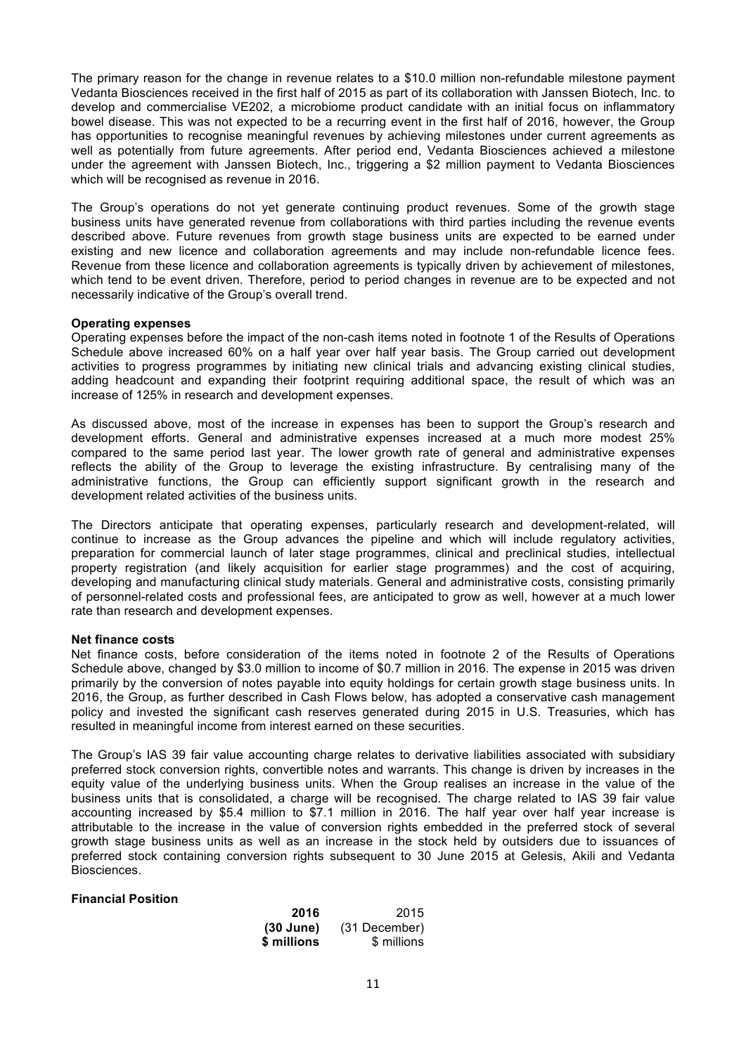The primary reason for the change in revenue relates to a \$10.0 million non-refundable milestone payment Vedanta Biosciences received in the first half of 2015 as part of its collaboration with Janssen Biotech, Inc. to develop and commercialise VE202, a microbiome product candidate with an initial focus on inflammatory bowel disease. This was not expected to be a recurring event in the first half of 2016, however, the Group has opportunities to recognise meaningful revenues by achieving milestones under current agreements as well as potentially from future agreements. After period end, Vedanta Biosciences achieved a milestone under the agreement with Janssen Biotech, Inc., triggering a \$2 million payment to Vedanta Biosciences which will be recognised as revenue in 2016.

The Group's operations do not yet generate continuing product revenues. Some of the growth stage business units have generated revenue from collaborations with third parties including the revenue events described above. Future revenues from growth stage business units are expected to be earned under existing and new licence and collaboration agreements and may include non-refundable licence fees. Revenue from these licence and collaboration agreements is typically driven by achievement of milestones, which tend to be event driven. Therefore, period to period changes in revenue are to be expected and not necessarily indicative of the Group's overall trend.

### **Operating expenses**

Operating expenses before the impact of the non-cash items noted in footnote 1 of the Results of Operations Schedule above increased 60% on a half year over half year basis. The Group carried out development activities to progress programmes by initiating new clinical trials and advancing existing clinical studies, adding headcount and expanding their footprint requiring additional space, the result of which was an increase of 125% in research and development expenses.

As discussed above, most of the increase in expenses has been to support the Group's research and development efforts. General and administrative expenses increased at a much more modest 25% compared to the same period last year. The lower growth rate of general and administrative expenses reflects the ability of the Group to leverage the existing infrastructure. By centralising many of the administrative functions, the Group can efficiently support significant growth in the research and development related activities of the business units.

The Directors anticipate that operating expenses, particularly research and development-related, will continue to increase as the Group advances the pipeline and which will include regulatory activities, preparation for commercial launch of later stage programmes, clinical and preclinical studies, intellectual property registration (and likely acquisition for earlier stage programmes) and the cost of acquiring, developing and manufacturing clinical study materials. General and administrative costs, consisting primarily of personnel-related costs and professional fees, are anticipated to grow as well, however at a much lower rate than research and development expenses.

### **Net finance costs**

Net finance costs, before consideration of the items noted in footnote 2 of the Results of Operations Schedule above, changed by \$3.0 million to income of \$0.7 million in 2016. The expense in 2015 was driven primarily by the conversion of notes payable into equity holdings for certain growth stage business units. In 2016, the Group, as further described in Cash Flows below, has adopted a conservative cash management policy and invested the significant cash reserves generated during 2015 in U.S. Treasuries, which has resulted in meaningful income from interest earned on these securities.

The Group's IAS 39 fair value accounting charge relates to derivative liabilities associated with subsidiary preferred stock conversion rights, convertible notes and warrants. This change is driven by increases in the equity value of the underlying business units. When the Group realises an increase in the value of the business units that is consolidated, a charge will be recognised. The charge related to IAS 39 fair value accounting increased by \$5.4 million to \$7.1 million in 2016. The half year over half year increase is attributable to the increase in the value of conversion rights embedded in the preferred stock of several growth stage business units as well as an increase in the stock held by outsiders due to issuances of preferred stock containing conversion rights subsequent to 30 June 2015 at Gelesis, Akili and Vedanta Biosciences.

# **Financial Position**

| 2016                | 2015          |
|---------------------|---------------|
| $(30 \text{ June})$ | (31 December) |
| \$ millions         | \$ millions   |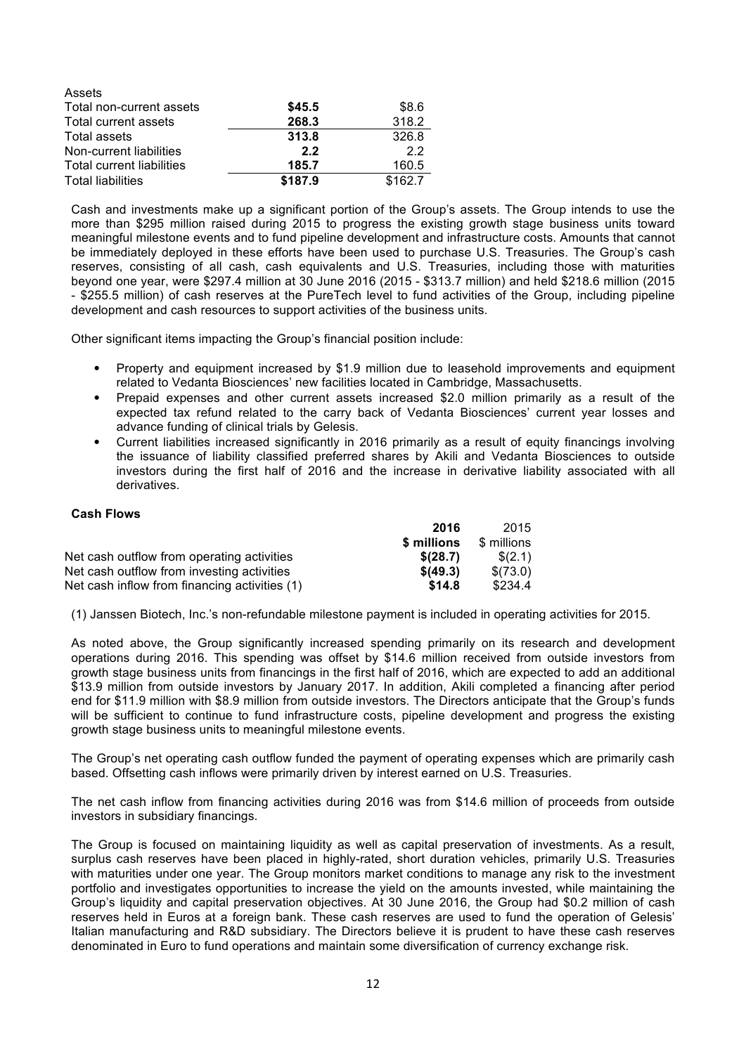| Assets                    |         |         |
|---------------------------|---------|---------|
| Total non-current assets  | \$45.5  | \$8.6   |
| Total current assets      | 268.3   | 318.2   |
| Total assets              | 313.8   | 326.8   |
| Non-current liabilities   | 2.2     | 22      |
| Total current liabilities | 185.7   | 160.5   |
| <b>Total liabilities</b>  | \$187.9 | \$162.7 |

Cash and investments make up a significant portion of the Group's assets. The Group intends to use the more than \$295 million raised during 2015 to progress the existing growth stage business units toward meaningful milestone events and to fund pipeline development and infrastructure costs. Amounts that cannot be immediately deployed in these efforts have been used to purchase U.S. Treasuries. The Group's cash reserves, consisting of all cash, cash equivalents and U.S. Treasuries, including those with maturities beyond one year, were \$297.4 million at 30 June 2016 (2015 - \$313.7 million) and held \$218.6 million (2015 - \$255.5 million) of cash reserves at the PureTech level to fund activities of the Group, including pipeline development and cash resources to support activities of the business units.

Other significant items impacting the Group's financial position include:

- Property and equipment increased by \$1.9 million due to leasehold improvements and equipment related to Vedanta Biosciences' new facilities located in Cambridge, Massachusetts.
- Prepaid expenses and other current assets increased \$2.0 million primarily as a result of the expected tax refund related to the carry back of Vedanta Biosciences' current year losses and advance funding of clinical trials by Gelesis.
- Current liabilities increased significantly in 2016 primarily as a result of equity financings involving the issuance of liability classified preferred shares by Akili and Vedanta Biosciences to outside investors during the first half of 2016 and the increase in derivative liability associated with all derivatives.

# **Cash Flows**

|                                               | 2016        | 2015        |
|-----------------------------------------------|-------------|-------------|
|                                               | \$ millions | \$ millions |
| Net cash outflow from operating activities    | \$(28.7)    | \$(2.1)     |
| Net cash outflow from investing activities    | \$ (49.3)   | \$(73.0)    |
| Net cash inflow from financing activities (1) | \$14.8      | \$234.4     |

(1) Janssen Biotech, Inc.'s non-refundable milestone payment is included in operating activities for 2015.

As noted above, the Group significantly increased spending primarily on its research and development operations during 2016. This spending was offset by \$14.6 million received from outside investors from growth stage business units from financings in the first half of 2016, which are expected to add an additional \$13.9 million from outside investors by January 2017. In addition, Akili completed a financing after period end for \$11.9 million with \$8.9 million from outside investors. The Directors anticipate that the Group's funds will be sufficient to continue to fund infrastructure costs, pipeline development and progress the existing growth stage business units to meaningful milestone events.

The Group's net operating cash outflow funded the payment of operating expenses which are primarily cash based. Offsetting cash inflows were primarily driven by interest earned on U.S. Treasuries.

The net cash inflow from financing activities during 2016 was from \$14.6 million of proceeds from outside investors in subsidiary financings.

The Group is focused on maintaining liquidity as well as capital preservation of investments. As a result, surplus cash reserves have been placed in highly-rated, short duration vehicles, primarily U.S. Treasuries with maturities under one year. The Group monitors market conditions to manage any risk to the investment portfolio and investigates opportunities to increase the yield on the amounts invested, while maintaining the Group's liquidity and capital preservation objectives. At 30 June 2016, the Group had \$0.2 million of cash reserves held in Euros at a foreign bank. These cash reserves are used to fund the operation of Gelesis' Italian manufacturing and R&D subsidiary. The Directors believe it is prudent to have these cash reserves denominated in Euro to fund operations and maintain some diversification of currency exchange risk.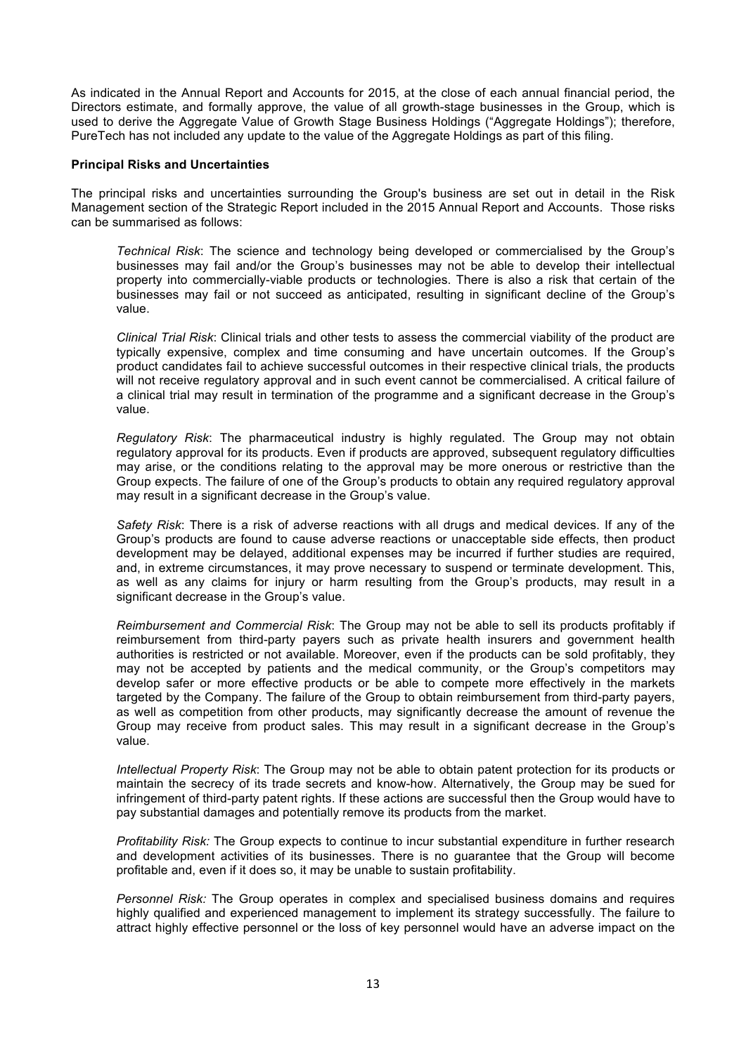As indicated in the Annual Report and Accounts for 2015, at the close of each annual financial period, the Directors estimate, and formally approve, the value of all growth-stage businesses in the Group, which is used to derive the Aggregate Value of Growth Stage Business Holdings ("Aggregate Holdings"); therefore, PureTech has not included any update to the value of the Aggregate Holdings as part of this filing.

### **Principal Risks and Uncertainties**

The principal risks and uncertainties surrounding the Group's business are set out in detail in the Risk Management section of the Strategic Report included in the 2015 Annual Report and Accounts. Those risks can be summarised as follows:

*Technical Risk*: The science and technology being developed or commercialised by the Group's businesses may fail and/or the Group's businesses may not be able to develop their intellectual property into commercially-viable products or technologies. There is also a risk that certain of the businesses may fail or not succeed as anticipated, resulting in significant decline of the Group's value.

*Clinical Trial Risk*: Clinical trials and other tests to assess the commercial viability of the product are typically expensive, complex and time consuming and have uncertain outcomes. If the Group's product candidates fail to achieve successful outcomes in their respective clinical trials, the products will not receive regulatory approval and in such event cannot be commercialised. A critical failure of a clinical trial may result in termination of the programme and a significant decrease in the Group's value.

*Regulatory Risk*: The pharmaceutical industry is highly regulated. The Group may not obtain regulatory approval for its products. Even if products are approved, subsequent regulatory difficulties may arise, or the conditions relating to the approval may be more onerous or restrictive than the Group expects. The failure of one of the Group's products to obtain any required regulatory approval may result in a significant decrease in the Group's value.

*Safety Risk*: There is a risk of adverse reactions with all drugs and medical devices. If any of the Group's products are found to cause adverse reactions or unacceptable side effects, then product development may be delayed, additional expenses may be incurred if further studies are required, and, in extreme circumstances, it may prove necessary to suspend or terminate development. This, as well as any claims for injury or harm resulting from the Group's products, may result in a significant decrease in the Group's value.

*Reimbursement and Commercial Risk*: The Group may not be able to sell its products profitably if reimbursement from third-party payers such as private health insurers and government health authorities is restricted or not available. Moreover, even if the products can be sold profitably, they may not be accepted by patients and the medical community, or the Group's competitors may develop safer or more effective products or be able to compete more effectively in the markets targeted by the Company. The failure of the Group to obtain reimbursement from third-party payers, as well as competition from other products, may significantly decrease the amount of revenue the Group may receive from product sales. This may result in a significant decrease in the Group's value.

*Intellectual Property Risk*: The Group may not be able to obtain patent protection for its products or maintain the secrecy of its trade secrets and know-how. Alternatively, the Group may be sued for infringement of third-party patent rights. If these actions are successful then the Group would have to pay substantial damages and potentially remove its products from the market.

*Profitability Risk:* The Group expects to continue to incur substantial expenditure in further research and development activities of its businesses. There is no guarantee that the Group will become profitable and, even if it does so, it may be unable to sustain profitability.

*Personnel Risk:* The Group operates in complex and specialised business domains and requires highly qualified and experienced management to implement its strategy successfully. The failure to attract highly effective personnel or the loss of key personnel would have an adverse impact on the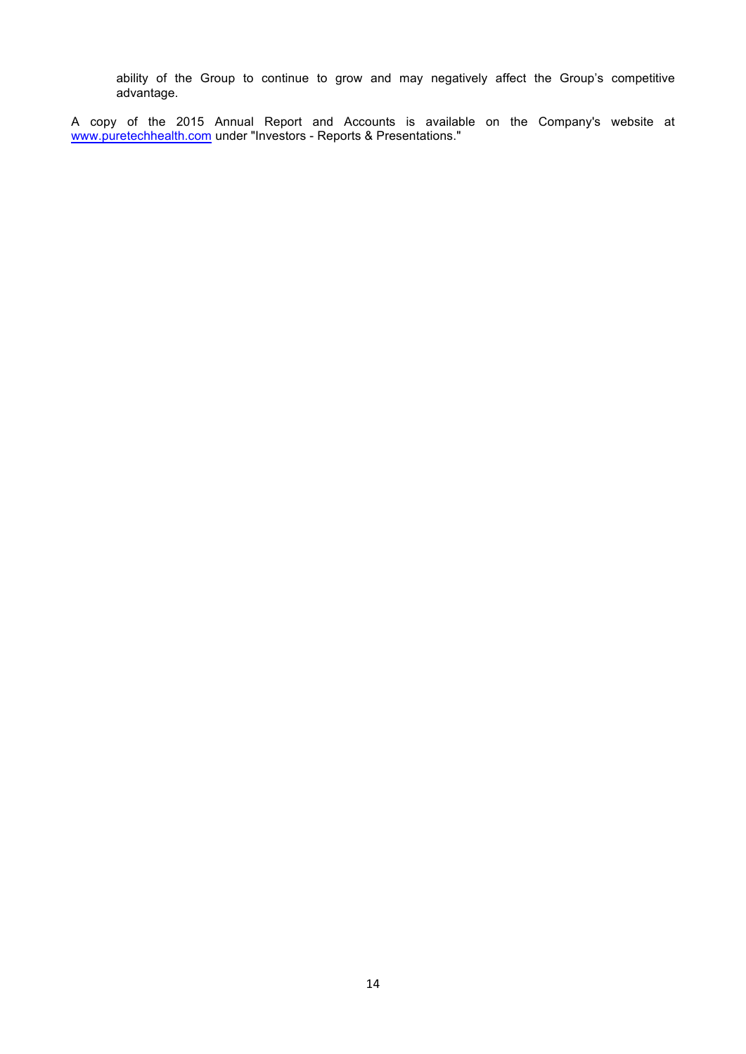ability of the Group to continue to grow and may negatively affect the Group's competitive advantage.

A copy of the 2015 Annual Report and Accounts is available on the Company's website at www.puretechhealth.com under "Investors - Reports & Presentations."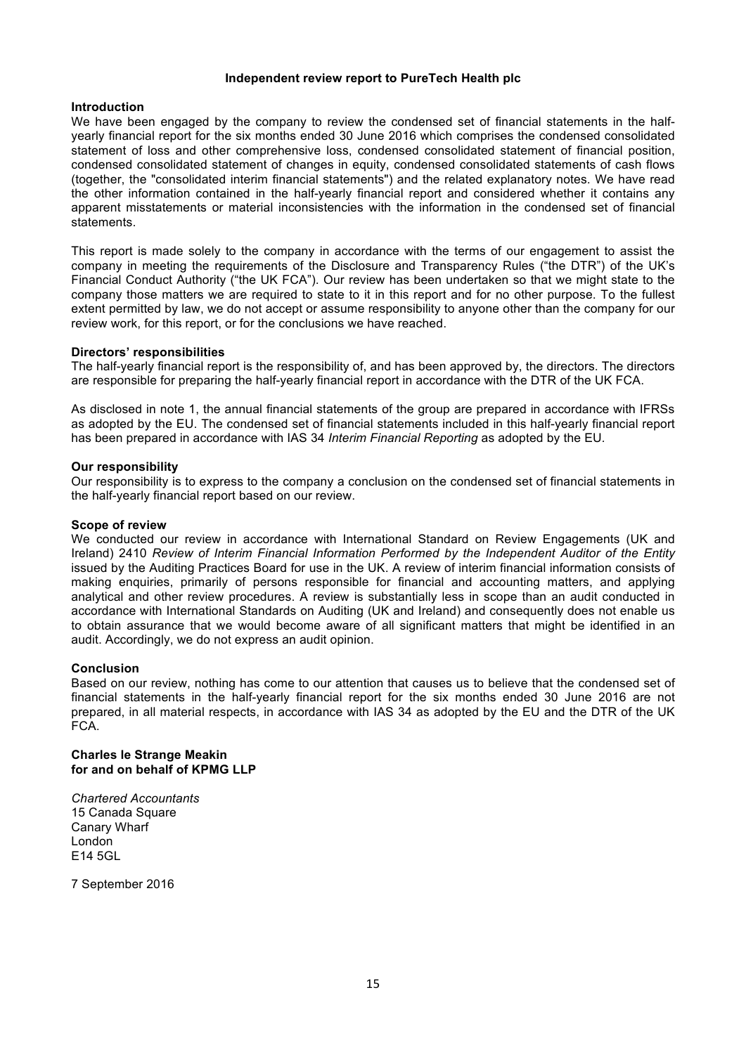### **Independent review report to PureTech Health plc**

### **Introduction**

We have been engaged by the company to review the condensed set of financial statements in the halfyearly financial report for the six months ended 30 June 2016 which comprises the condensed consolidated statement of loss and other comprehensive loss, condensed consolidated statement of financial position, condensed consolidated statement of changes in equity, condensed consolidated statements of cash flows (together, the "consolidated interim financial statements") and the related explanatory notes. We have read the other information contained in the half-yearly financial report and considered whether it contains any apparent misstatements or material inconsistencies with the information in the condensed set of financial statements.

This report is made solely to the company in accordance with the terms of our engagement to assist the company in meeting the requirements of the Disclosure and Transparency Rules ("the DTR") of the UK's Financial Conduct Authority ("the UK FCA"). Our review has been undertaken so that we might state to the company those matters we are required to state to it in this report and for no other purpose. To the fullest extent permitted by law, we do not accept or assume responsibility to anyone other than the company for our review work, for this report, or for the conclusions we have reached.

### **Directors' responsibilities**

The half-yearly financial report is the responsibility of, and has been approved by, the directors. The directors are responsible for preparing the half-yearly financial report in accordance with the DTR of the UK FCA.

As disclosed in note 1, the annual financial statements of the group are prepared in accordance with IFRSs as adopted by the EU. The condensed set of financial statements included in this half-yearly financial report has been prepared in accordance with IAS 34 *Interim Financial Reporting* as adopted by the EU*.*

### **Our responsibility**

Our responsibility is to express to the company a conclusion on the condensed set of financial statements in the half-yearly financial report based on our review.

#### **Scope of review**

We conducted our review in accordance with International Standard on Review Engagements (UK and Ireland) 2410 *Review of Interim Financial Information Performed by the Independent Auditor of the Entity*  issued by the Auditing Practices Board for use in the UK. A review of interim financial information consists of making enquiries, primarily of persons responsible for financial and accounting matters, and applying analytical and other review procedures. A review is substantially less in scope than an audit conducted in accordance with International Standards on Auditing (UK and Ireland) and consequently does not enable us to obtain assurance that we would become aware of all significant matters that might be identified in an audit. Accordingly, we do not express an audit opinion.

#### **Conclusion**

Based on our review, nothing has come to our attention that causes us to believe that the condensed set of financial statements in the half-yearly financial report for the six months ended 30 June 2016 are not prepared, in all material respects, in accordance with IAS 34 as adopted by the EU and the DTR of the UK FCA.

### **Charles le Strange Meakin for and on behalf of KPMG LLP**

*Chartered Accountants* 15 Canada Square Canary Wharf London E14 5GL

7 September 2016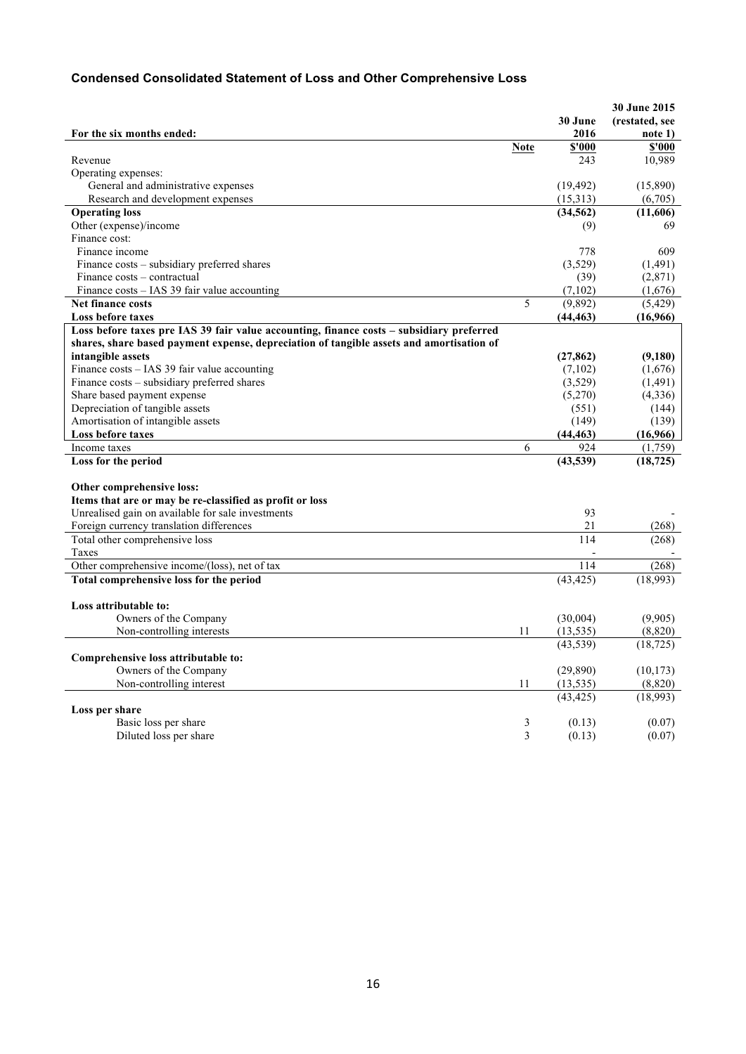# **Condensed Consolidated Statement of Loss and Other Comprehensive Loss**

|                                                                                          |             |                      | 30 June 2015         |
|------------------------------------------------------------------------------------------|-------------|----------------------|----------------------|
|                                                                                          |             | 30 June              | (restated, see       |
| For the six months ended:                                                                |             | 2016                 | $note$ 1)            |
|                                                                                          | <b>Note</b> | \$'000               | \$'000               |
| Revenue                                                                                  |             | 243                  | 10,989               |
| Operating expenses:                                                                      |             |                      |                      |
| General and administrative expenses                                                      |             | (19, 492)            | (15,890)             |
| Research and development expenses                                                        |             | (15,313)             | (6,705)              |
| <b>Operating loss</b>                                                                    |             | (34, 562)            | (11,606)             |
| Other (expense)/income                                                                   |             | (9)                  | 69                   |
| Finance cost:                                                                            |             |                      |                      |
| Finance income                                                                           |             | 778                  | 609                  |
| Finance costs – subsidiary preferred shares                                              |             | (3,529)              | (1,491)              |
| Finance costs – contractual                                                              |             | (39)<br>(7,102)      | (2,871)              |
| Finance costs – IAS 39 fair value accounting<br><b>Net finance costs</b>                 | 5           |                      | (1,676)              |
| <b>Loss before taxes</b>                                                                 |             | (9,892)<br>(44, 463) | (5, 429)<br>(16,966) |
| Loss before taxes pre IAS 39 fair value accounting, finance costs - subsidiary preferred |             |                      |                      |
| shares, share based payment expense, depreciation of tangible assets and amortisation of |             |                      |                      |
| intangible assets                                                                        |             | (27, 862)            | (9,180)              |
| Finance costs – IAS 39 fair value accounting                                             |             | (7,102)              | (1,676)              |
| Finance costs - subsidiary preferred shares                                              |             | (3,529)              | (1, 491)             |
| Share based payment expense                                                              |             | (5,270)              | (4,336)              |
| Depreciation of tangible assets                                                          |             | (551)                | (144)                |
| Amortisation of intangible assets                                                        |             | (149)                | (139)                |
| Loss before taxes                                                                        |             | (44, 463)            | (16,966)             |
| Income taxes                                                                             | 6           | 924                  | (1,759)              |
| Loss for the period                                                                      |             | (43,539)             | (18, 725)            |
|                                                                                          |             |                      |                      |
| Other comprehensive loss:                                                                |             |                      |                      |
| Items that are or may be re-classified as profit or loss                                 |             |                      |                      |
| Unrealised gain on available for sale investments                                        |             | 93                   |                      |
| Foreign currency translation differences                                                 |             | 21                   | (268)                |
| Total other comprehensive loss                                                           |             | 114                  | (268)                |
| Taxes                                                                                    |             |                      |                      |
| Other comprehensive income/(loss), net of tax                                            |             | 114                  | (268)                |
| Total comprehensive loss for the period                                                  |             | (43, 425)            | (18,993)             |
|                                                                                          |             |                      |                      |
| Loss attributable to:                                                                    |             |                      |                      |
| Owners of the Company                                                                    |             | (30,004)             | (9,905)              |
| Non-controlling interests                                                                | 11          | (13, 535)            | (8,820)              |
|                                                                                          |             | (43, 539)            | (18, 725)            |
| Comprehensive loss attributable to:                                                      |             |                      |                      |
| Owners of the Company                                                                    |             | (29, 890)            | (10, 173)            |
| Non-controlling interest                                                                 | 11          | (13, 535)            | (8,820)              |
|                                                                                          |             | (43, 425)            | (18,993)             |
| Loss per share                                                                           |             |                      |                      |
| Basic loss per share                                                                     | 3           | (0.13)               | (0.07)               |
| Diluted loss per share                                                                   | 3           | (0.13)               | (0.07)               |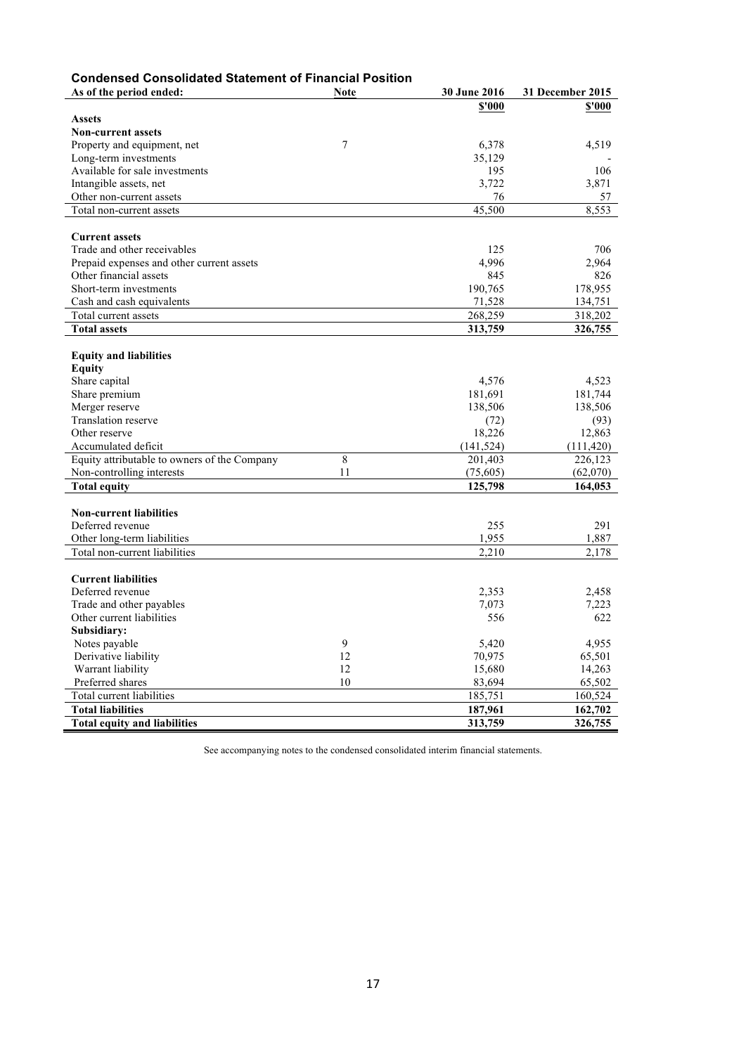| Condensed Consolidated Statement of Financial Position |             |                     |                  |
|--------------------------------------------------------|-------------|---------------------|------------------|
| As of the period ended:                                | <b>Note</b> | <b>30 June 2016</b> | 31 December 2015 |
|                                                        |             | \$'000              | \$'000           |
| <b>Assets</b>                                          |             |                     |                  |
| <b>Non-current assets</b>                              |             |                     |                  |
| Property and equipment, net                            | 7           | 6,378               | 4,519            |
| Long-term investments                                  |             | 35,129              |                  |
| Available for sale investments                         |             | 195                 | 106              |
| Intangible assets, net                                 |             | 3,722               | 3,871            |
| Other non-current assets                               |             | 76                  | 57               |
| Total non-current assets                               |             | 45,500              | 8,553            |
|                                                        |             |                     |                  |
| <b>Current assets</b>                                  |             |                     |                  |
| Trade and other receivables                            |             | 125                 | 706              |
| Prepaid expenses and other current assets              |             | 4,996               | 2.964            |
| Other financial assets                                 |             | 845                 | 826              |
| Short-term investments                                 |             | 190,765             | 178,955          |
| Cash and cash equivalents                              |             | 71,528              | 134,751          |
| Total current assets                                   |             | 268,259             | 318,202          |
| <b>Total assets</b>                                    |             | 313,759             | 326,755          |
|                                                        |             |                     |                  |
| <b>Equity and liabilities</b>                          |             |                     |                  |
| <b>Equity</b>                                          |             |                     |                  |
| Share capital                                          |             | 4,576               | 4,523            |
| Share premium                                          |             | 181,691             | 181,744          |
| Merger reserve                                         |             | 138,506             | 138,506          |
| Translation reserve                                    |             | (72)                | (93)             |
| Other reserve                                          |             | 18,226              | 12,863           |
| Accumulated deficit                                    |             | (141, 524)          | (111, 420)       |
| Equity attributable to owners of the Company           | $\,$ 8 $\,$ | 201,403             | 226,123          |
| Non-controlling interests                              | 11          | (75,605)            | (62,070)         |
|                                                        |             |                     |                  |
| <b>Total equity</b>                                    |             | 125,798             | 164,053          |
|                                                        |             |                     |                  |
| <b>Non-current liabilities</b>                         |             |                     |                  |
| Deferred revenue                                       |             | 255                 | 291              |
| Other long-term liabilities                            |             | 1,955               | 1,887            |
| Total non-current liabilities                          |             | 2,210               | 2.178            |
|                                                        |             |                     |                  |
| <b>Current liabilities</b>                             |             |                     |                  |
| Deferred revenue                                       |             | 2,353               | 2,458            |
| Trade and other payables                               |             | 7,073               | 7,223            |
| Other current liabilities                              |             | 556                 | 622              |
| Subsidiary:                                            |             |                     |                  |
| Notes payable                                          | 9           | 5,420               | 4,955            |
| Derivative liability                                   | 12          | 70,975              | 65,501           |
| Warrant liability                                      | 12          | 15,680              | 14,263           |
| Preferred shares                                       | 10          | 83,694              | 65,502           |
| Total current liabilities                              |             | 185,751             | 160,524          |
| <b>Total liabilities</b>                               |             | 187,961             | 162,702          |
| <b>Total equity and liabilities</b>                    |             | 313,759             | 326,755          |

#### **Condensed Consolidated Statement of Financial Position**

See accompanying notes to the condensed consolidated interim financial statements.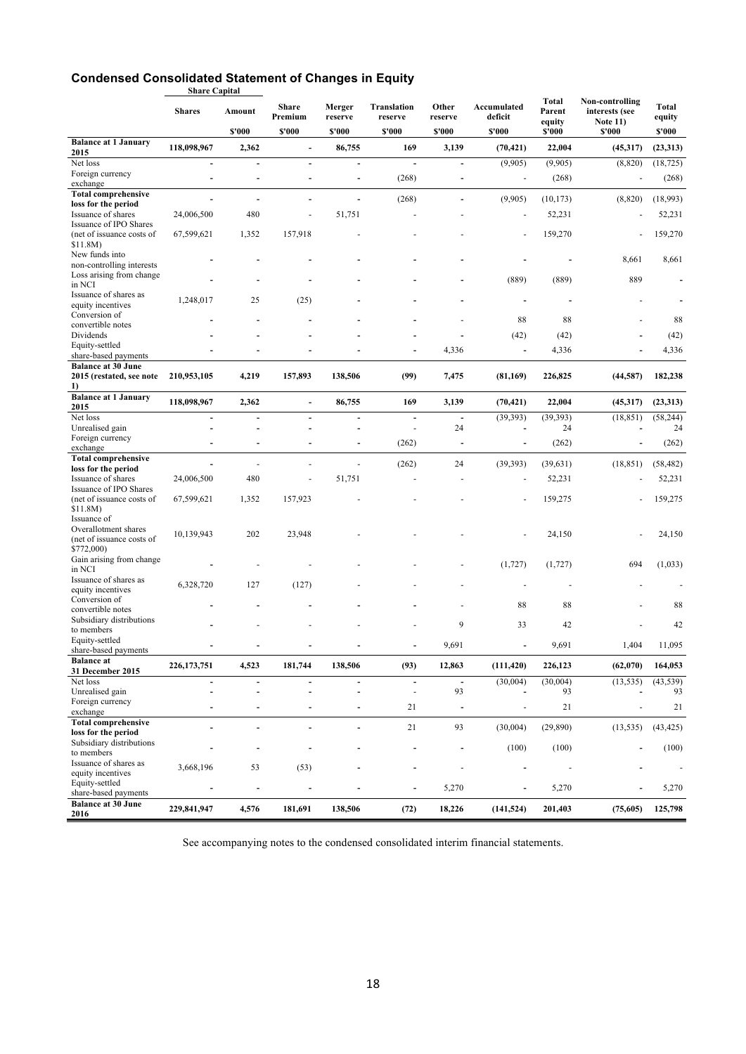#### **Condensed Consolidated Statement of Changes in Equity**

**Share Capital**

|                                                                                | <b>Shares</b>            | Amount<br>\$'000 | Share<br>Premium<br>\$'000 | Merger<br>reserve<br>\$'000 | <b>Translation</b><br>reserve<br>\$'000 | Other<br>reserve<br>\$'000 | Accumulated<br>deficit<br>\$'000 | <b>Total</b><br>Parent<br>equity<br>\$'000 | Non-controlling<br>interests (see<br><b>Note 11)</b><br>\$'000 | <b>Total</b><br>equity<br>\$'000 |
|--------------------------------------------------------------------------------|--------------------------|------------------|----------------------------|-----------------------------|-----------------------------------------|----------------------------|----------------------------------|--------------------------------------------|----------------------------------------------------------------|----------------------------------|
| <b>Balance at 1 January</b><br>2015                                            | 118,098,967              | 2,362            | $\blacksquare$             | 86,755                      | 169                                     | 3,139                      | (70, 421)                        | 22,004                                     | (45,317)                                                       | (23,313)                         |
| Net loss                                                                       |                          | $\blacksquare$   | ä,                         | $\overline{\phantom{a}}$    |                                         |                            | (9,905)                          | (9,905)                                    | (8, 820)                                                       | (18, 725)                        |
| Foreign currency<br>exchange                                                   |                          |                  | $\overline{a}$             | ÷                           | (268)                                   | $\overline{\phantom{a}}$   | $\overline{\phantom{a}}$         | (268)                                      | $\overline{a}$                                                 | (268)                            |
| <b>Total comprehensive</b>                                                     | ÷,                       | ÷                |                            | ÷                           | (268)                                   |                            | (9,905)                          | (10, 173)                                  | (8, 820)                                                       | (18,993)                         |
| loss for the period<br>Issuance of shares<br>Issuance of IPO Shares            | 24,006,500               | 480              |                            | 51,751                      |                                         |                            |                                  | 52,231                                     |                                                                | 52,231                           |
| (net of issuance costs of<br>$$11.8M$ )                                        | 67,599,621               | 1,352            | 157,918                    |                             |                                         |                            |                                  | 159,270                                    |                                                                | 159,270                          |
| New funds into<br>non-controlling interests                                    |                          |                  |                            |                             |                                         |                            |                                  |                                            | 8,661                                                          | 8,661                            |
| Loss arising from change<br>in NCI                                             |                          |                  |                            |                             |                                         |                            | (889)                            | (889)                                      | 889                                                            |                                  |
| Issuance of shares as<br>equity incentives                                     | 1,248,017                | 25               | (25)                       |                             |                                         |                            | ä,                               |                                            |                                                                |                                  |
| Conversion of<br>convertible notes                                             |                          |                  |                            |                             |                                         |                            | 88                               | 88                                         |                                                                | 88                               |
| Dividends                                                                      |                          |                  |                            |                             |                                         |                            | (42)                             | (42)                                       |                                                                | (42)                             |
| Equity-settled<br>share-based payments                                         |                          |                  |                            |                             |                                         | 4,336                      | $\sim$                           | 4,336                                      |                                                                | 4,336                            |
| <b>Balance at 30 June</b><br>2015 (restated, see note<br>1)                    | 210,953,105              | 4,219            | 157,893                    | 138,506                     | (99)                                    | 7,475                      | (81, 169)                        | 226,825                                    | (44,587)                                                       | 182,238                          |
| <b>Balance at 1 January</b><br>2015                                            | 118,098,967              | 2,362            | $\overline{\phantom{a}}$   | 86,755                      | 169                                     | 3,139                      | (70, 421)                        | 22,004                                     | (45,317)                                                       | (23,313)                         |
| Net loss<br>Unrealised gain                                                    | $\blacksquare$           | $\blacksquare$   | $\overline{\phantom{a}}$   | ÷                           | $\blacksquare$                          | $\sim$<br>24               | (39, 393)<br>٠                   | (39, 393)<br>24                            | (18, 851)                                                      | (58, 244)<br>24                  |
| Foreign currency<br>exchange                                                   |                          |                  |                            |                             | (262)                                   | ÷                          | $\overline{a}$                   | (262)                                      |                                                                | (262)                            |
| <b>Total comprehensive</b>                                                     |                          |                  |                            |                             | (262)                                   | 24                         | (39, 393)                        | (39, 631)                                  | (18, 851)                                                      | (58, 482)                        |
| loss for the period<br>Issuance of shares<br>Issuance of IPO Shares            | 24,006,500               | 480              |                            | 51,751                      |                                         |                            |                                  | 52,231                                     |                                                                | 52,231                           |
| (net of issuance costs of<br>$$11.8M$ )                                        | 67,599,621               | 1,352            | 157,923                    |                             |                                         |                            |                                  | 159,275                                    |                                                                | 159,275                          |
| Issuance of<br>Overallotment shares<br>(net of issuance costs of<br>\$772,000) | 10,139,943               | 202              | 23,948                     |                             |                                         |                            |                                  | 24,150                                     |                                                                | 24,150                           |
| Gain arising from change<br>in NCI                                             |                          |                  |                            |                             |                                         |                            | (1, 727)                         | (1, 727)                                   | 694                                                            | (1,033)                          |
| Issuance of shares as<br>equity incentives                                     | 6,328,720                | 127              | (127)                      |                             |                                         |                            |                                  |                                            |                                                                |                                  |
| Conversion of<br>convertible notes                                             |                          |                  |                            |                             |                                         |                            | 88                               | 88                                         |                                                                | 88                               |
| Subsidiary distributions<br>to members                                         |                          |                  |                            |                             |                                         | 9                          | 33                               | 42                                         |                                                                | 42                               |
| Equity-settled<br>share-based payments                                         |                          |                  |                            |                             |                                         | 9,691                      |                                  | 9,691                                      | 1,404                                                          | 11,095                           |
| <b>Balance at</b><br>31 December 2015                                          | 226, 173, 751            | 4,523            | 181,744                    | 138,506                     | (93)                                    | 12,863                     | (111, 420)                       | 226,123                                    | (62,070)                                                       | 164,053                          |
| Net loss<br>Unrealised gain                                                    | L,                       |                  | ä,                         | ÷                           | $\overline{\phantom{a}}$<br>÷,          | 93                         | (30,004)                         | (30,004)<br>93                             | (13, 535)                                                      | (43, 539)<br>93                  |
| Foreign currency<br>exchange                                                   |                          |                  |                            |                             | 21                                      | $\overline{\phantom{a}}$   | ÷                                | 21                                         |                                                                | 21                               |
| <b>Total comprehensive</b><br>loss for the period<br>Subsidiary distributions  |                          |                  | $\blacksquare$             |                             | 21                                      | 93                         | (30,004)                         | (29, 890)                                  | (13, 535)                                                      | (43, 425)                        |
| to members<br>Issuance of shares as                                            |                          |                  |                            |                             |                                         | $\overline{a}$             | (100)                            | (100)                                      |                                                                | (100)                            |
| equity incentives<br>Equity-settled                                            | 3,668,196                | 53               | (53)                       |                             |                                         |                            |                                  |                                            |                                                                |                                  |
| share-based payments<br><b>Balance at 30 June</b>                              | $\overline{\phantom{a}}$ |                  |                            |                             |                                         | 5,270                      |                                  | 5,270                                      |                                                                | 5,270                            |
| 2016                                                                           | 229,841,947              | 4,576            | 181,691                    | 138,506                     | (72)                                    | 18,226                     | (141, 524)                       | 201,403                                    | (75,605)                                                       | 125,798                          |

See accompanying notes to the condensed consolidated interim financial statements.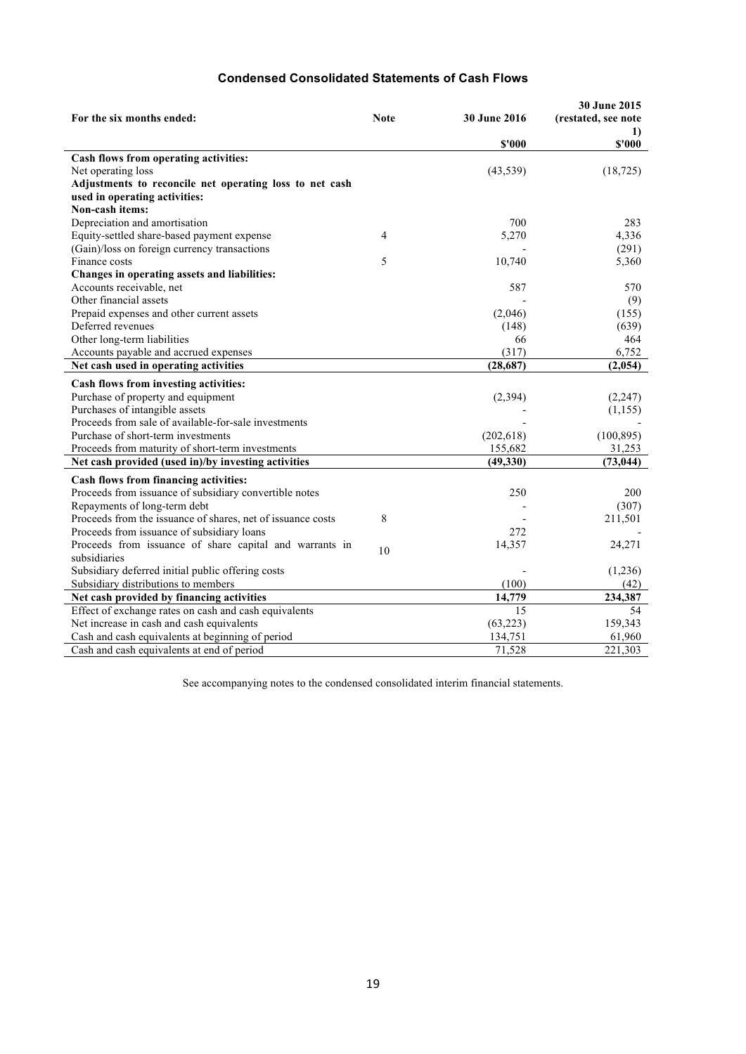# **Condensed Consolidated Statements of Cash Flows**

| For the six months ended:                                   | <b>Note</b> | 30 June 2016 | <b>30 June 2015</b><br>(restated, see note |
|-------------------------------------------------------------|-------------|--------------|--------------------------------------------|
|                                                             |             |              | 1)                                         |
|                                                             |             | \$'000       | \$'000                                     |
| Cash flows from operating activities:                       |             |              |                                            |
| Net operating loss                                          |             | (43, 539)    | (18, 725)                                  |
| Adjustments to reconcile net operating loss to net cash     |             |              |                                            |
| used in operating activities:                               |             |              |                                            |
| Non-cash items:                                             |             |              |                                            |
| Depreciation and amortisation                               |             | 700          | 283                                        |
| Equity-settled share-based payment expense                  | 4           | 5,270        | 4,336                                      |
| (Gain)/loss on foreign currency transactions                |             |              | (291)                                      |
| Finance costs                                               | 5           | 10,740       | 5,360                                      |
| Changes in operating assets and liabilities:                |             |              |                                            |
| Accounts receivable, net                                    |             | 587          | 570                                        |
| Other financial assets                                      |             |              | (9)                                        |
| Prepaid expenses and other current assets                   |             | (2,046)      | (155)                                      |
| Deferred revenues                                           |             | (148)        | (639)                                      |
| Other long-term liabilities                                 |             | 66           | 464                                        |
| Accounts payable and accrued expenses                       |             | (317)        | 6,752                                      |
| Net cash used in operating activities                       |             | (28, 687)    | (2,054)                                    |
| Cash flows from investing activities:                       |             |              |                                            |
| Purchase of property and equipment                          |             | (2,394)      | (2,247)                                    |
| Purchases of intangible assets                              |             |              | (1, 155)                                   |
| Proceeds from sale of available-for-sale investments        |             |              |                                            |
| Purchase of short-term investments                          |             | (202, 618)   | (100, 895)                                 |
| Proceeds from maturity of short-term investments            |             | 155,682      | 31,253                                     |
| Net cash provided (used in)/by investing activities         |             | (49, 330)    | (73, 044)                                  |
| Cash flows from financing activities:                       |             |              |                                            |
| Proceeds from issuance of subsidiary convertible notes      |             | 250          | 200                                        |
| Repayments of long-term debt                                |             |              | (307)                                      |
| Proceeds from the issuance of shares, net of issuance costs | 8           |              | 211,501                                    |
| Proceeds from issuance of subsidiary loans                  |             | 272          |                                            |
| Proceeds from issuance of share capital and warrants in     |             | 14,357       | 24,271                                     |
| subsidiaries                                                | 10          |              |                                            |
| Subsidiary deferred initial public offering costs           |             |              | (1,236)                                    |
| Subsidiary distributions to members                         |             | (100)        | (42)                                       |
| Net cash provided by financing activities                   |             | 14,779       | 234,387                                    |
| Effect of exchange rates on cash and cash equivalents       |             | 15           | 54                                         |
| Net increase in cash and cash equivalents                   |             | (63, 223)    | 159,343                                    |
| Cash and cash equivalents at beginning of period            |             | 134,751      | 61,960                                     |
| Cash and cash equivalents at end of period                  |             | 71,528       | 221,303                                    |

See accompanying notes to the condensed consolidated interim financial statements.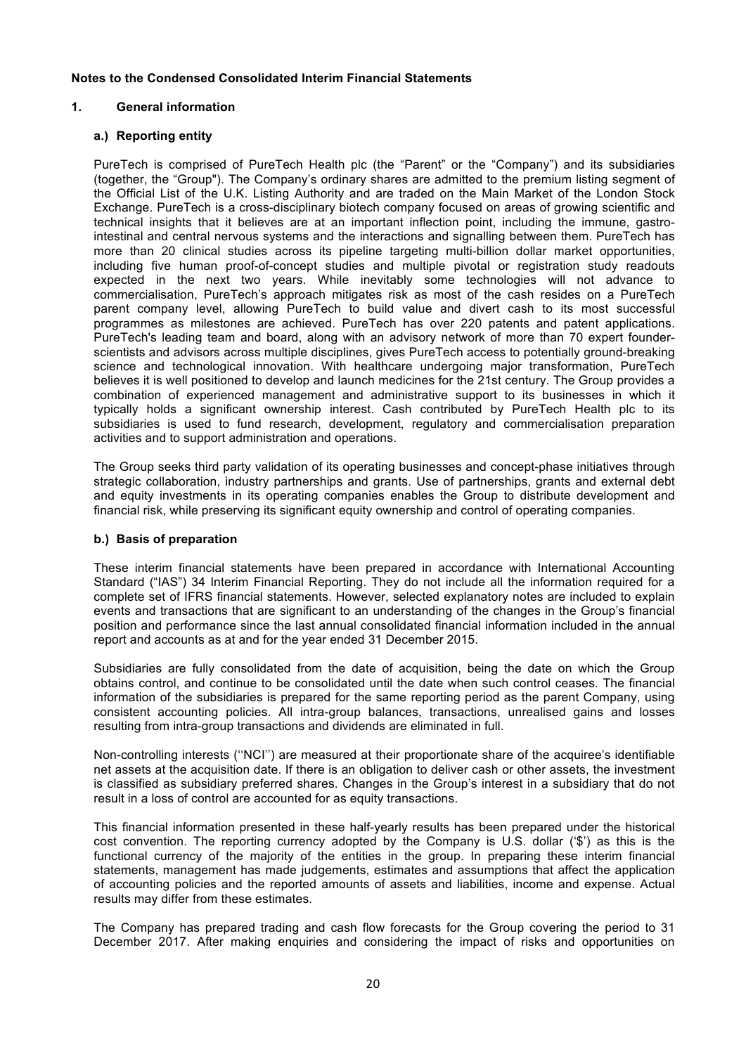### **Notes to the Condensed Consolidated Interim Financial Statements**

# **1. General information**

# **a.) Reporting entity**

PureTech is comprised of PureTech Health plc (the "Parent" or the "Company") and its subsidiaries (together, the "Group"). The Company's ordinary shares are admitted to the premium listing segment of the Official List of the U.K. Listing Authority and are traded on the Main Market of the London Stock Exchange. PureTech is a cross-disciplinary biotech company focused on areas of growing scientific and technical insights that it believes are at an important inflection point, including the immune, gastrointestinal and central nervous systems and the interactions and signalling between them. PureTech has more than 20 clinical studies across its pipeline targeting multi-billion dollar market opportunities, including five human proof-of-concept studies and multiple pivotal or registration study readouts expected in the next two years. While inevitably some technologies will not advance to commercialisation, PureTech's approach mitigates risk as most of the cash resides on a PureTech parent company level, allowing PureTech to build value and divert cash to its most successful programmes as milestones are achieved. PureTech has over 220 patents and patent applications. PureTech's leading team and board, along with an advisory network of more than 70 expert founderscientists and advisors across multiple disciplines, gives PureTech access to potentially ground-breaking science and technological innovation. With healthcare undergoing major transformation, PureTech believes it is well positioned to develop and launch medicines for the 21st century. The Group provides a combination of experienced management and administrative support to its businesses in which it typically holds a significant ownership interest. Cash contributed by PureTech Health plc to its subsidiaries is used to fund research, development, regulatory and commercialisation preparation activities and to support administration and operations.

The Group seeks third party validation of its operating businesses and concept-phase initiatives through strategic collaboration, industry partnerships and grants. Use of partnerships, grants and external debt and equity investments in its operating companies enables the Group to distribute development and financial risk, while preserving its significant equity ownership and control of operating companies.

# **b.) Basis of preparation**

These interim financial statements have been prepared in accordance with International Accounting Standard ("IAS") 34 Interim Financial Reporting. They do not include all the information required for a complete set of IFRS financial statements. However, selected explanatory notes are included to explain events and transactions that are significant to an understanding of the changes in the Group's financial position and performance since the last annual consolidated financial information included in the annual report and accounts as at and for the year ended 31 December 2015.

Subsidiaries are fully consolidated from the date of acquisition, being the date on which the Group obtains control, and continue to be consolidated until the date when such control ceases. The financial information of the subsidiaries is prepared for the same reporting period as the parent Company, using consistent accounting policies. All intra-group balances, transactions, unrealised gains and losses resulting from intra-group transactions and dividends are eliminated in full.

Non-controlling interests (''NCI'') are measured at their proportionate share of the acquiree's identifiable net assets at the acquisition date. If there is an obligation to deliver cash or other assets, the investment is classified as subsidiary preferred shares. Changes in the Group's interest in a subsidiary that do not result in a loss of control are accounted for as equity transactions.

This financial information presented in these half-yearly results has been prepared under the historical cost convention. The reporting currency adopted by the Company is U.S. dollar ('\$') as this is the functional currency of the majority of the entities in the group. In preparing these interim financial statements, management has made judgements, estimates and assumptions that affect the application of accounting policies and the reported amounts of assets and liabilities, income and expense. Actual results may differ from these estimates.

The Company has prepared trading and cash flow forecasts for the Group covering the period to 31 December 2017. After making enquiries and considering the impact of risks and opportunities on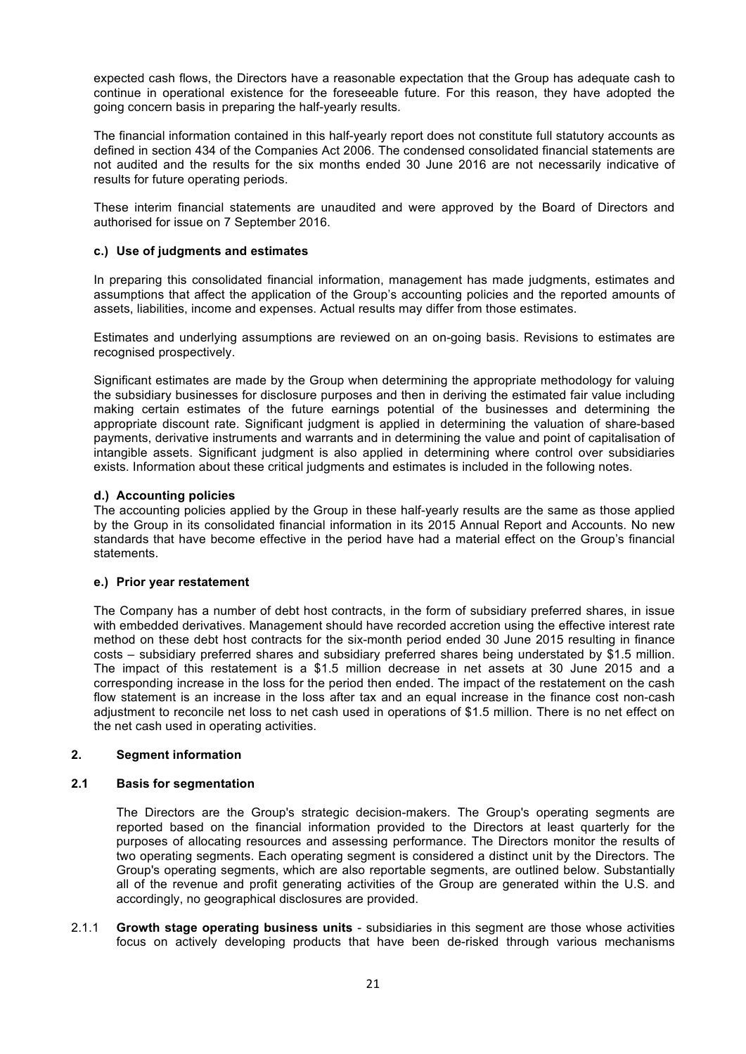expected cash flows, the Directors have a reasonable expectation that the Group has adequate cash to continue in operational existence for the foreseeable future. For this reason, they have adopted the going concern basis in preparing the half-yearly results.

The financial information contained in this half-yearly report does not constitute full statutory accounts as defined in section 434 of the Companies Act 2006. The condensed consolidated financial statements are not audited and the results for the six months ended 30 June 2016 are not necessarily indicative of results for future operating periods.

These interim financial statements are unaudited and were approved by the Board of Directors and authorised for issue on 7 September 2016.

# **c.) Use of judgments and estimates**

In preparing this consolidated financial information, management has made judgments, estimates and assumptions that affect the application of the Group's accounting policies and the reported amounts of assets, liabilities, income and expenses. Actual results may differ from those estimates.

Estimates and underlying assumptions are reviewed on an on-going basis. Revisions to estimates are recognised prospectively.

Significant estimates are made by the Group when determining the appropriate methodology for valuing the subsidiary businesses for disclosure purposes and then in deriving the estimated fair value including making certain estimates of the future earnings potential of the businesses and determining the appropriate discount rate. Significant judgment is applied in determining the valuation of share-based payments, derivative instruments and warrants and in determining the value and point of capitalisation of intangible assets. Significant judgment is also applied in determining where control over subsidiaries exists. Information about these critical judgments and estimates is included in the following notes.

# **d.) Accounting policies**

The accounting policies applied by the Group in these half-yearly results are the same as those applied by the Group in its consolidated financial information in its 2015 Annual Report and Accounts. No new standards that have become effective in the period have had a material effect on the Group's financial statements.

### **e.) Prior year restatement**

The Company has a number of debt host contracts, in the form of subsidiary preferred shares, in issue with embedded derivatives. Management should have recorded accretion using the effective interest rate method on these debt host contracts for the six-month period ended 30 June 2015 resulting in finance costs – subsidiary preferred shares and subsidiary preferred shares being understated by \$1.5 million. The impact of this restatement is a \$1.5 million decrease in net assets at 30 June 2015 and a corresponding increase in the loss for the period then ended. The impact of the restatement on the cash flow statement is an increase in the loss after tax and an equal increase in the finance cost non-cash adjustment to reconcile net loss to net cash used in operations of \$1.5 million. There is no net effect on the net cash used in operating activities.

### **2. Segment information**

### **2.1 Basis for segmentation**

The Directors are the Group's strategic decision-makers. The Group's operating segments are reported based on the financial information provided to the Directors at least quarterly for the purposes of allocating resources and assessing performance. The Directors monitor the results of two operating segments. Each operating segment is considered a distinct unit by the Directors. The Group's operating segments, which are also reportable segments, are outlined below. Substantially all of the revenue and profit generating activities of the Group are generated within the U.S. and accordingly, no geographical disclosures are provided.

2.1.1 **Growth stage operating business units** - subsidiaries in this segment are those whose activities focus on actively developing products that have been de-risked through various mechanisms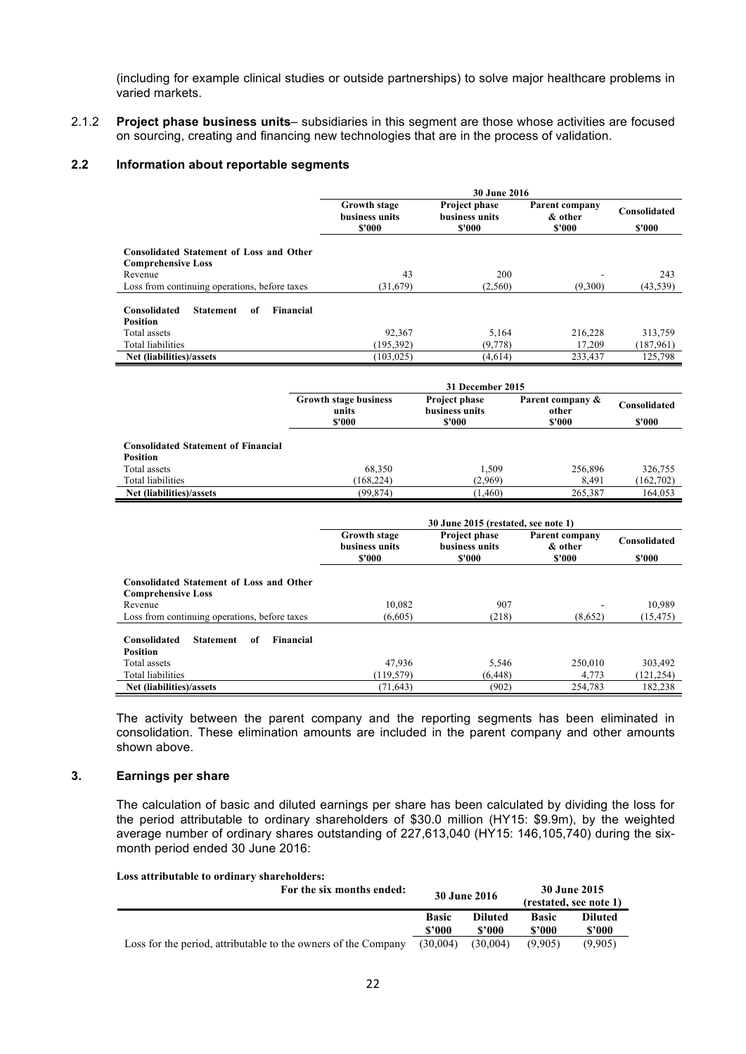(including for example clinical studies or outside partnerships) to solve major healthcare problems in varied markets.

2.1.2 **Project phase business units**– subsidiaries in this segment are those whose activities are focused on sourcing, creating and financing new technologies that are in the process of validation.

# **2.2 Information about reportable segments**

|                                                                               | <b>30 June 2016</b>                             |                                                                                                |         |                        |  |
|-------------------------------------------------------------------------------|-------------------------------------------------|------------------------------------------------------------------------------------------------|---------|------------------------|--|
|                                                                               | <b>Growth stage</b><br>business units<br>\$'000 | <b>Project phase</b><br><b>Parent company</b><br>business units<br>& other<br>\$'000<br>\$'000 |         | Consolidated<br>\$'000 |  |
| <b>Consolidated Statement of Loss and Other</b><br><b>Comprehensive Loss</b>  |                                                 |                                                                                                |         |                        |  |
| Revenue                                                                       | 43                                              | 200                                                                                            |         | 243                    |  |
| Loss from continuing operations, before taxes                                 | (31,679)                                        | (2,560)                                                                                        | (9,300) | (43, 539)              |  |
| Financial<br><b>Consolidated</b><br>of<br><b>Statement</b><br><b>Position</b> |                                                 |                                                                                                |         |                        |  |
| Total assets                                                                  | 92,367                                          | 5,164                                                                                          | 216,228 | 313,759                |  |
| Total liabilities                                                             | (195, 392)                                      | (9,778)                                                                                        | 17,209  | (187, 961)             |  |
| Net (liabilities)/assets                                                      | (103, 025)                                      | (4,614)                                                                                        | 233,437 | 125,798                |  |

|                                                               | 31 December 2015                                |                                           |                                     |                        |  |  |
|---------------------------------------------------------------|-------------------------------------------------|-------------------------------------------|-------------------------------------|------------------------|--|--|
|                                                               | <b>Growth stage business</b><br>units<br>\$'000 | Project phase<br>business units<br>\$'000 | Parent company &<br>other<br>\$'000 | Consolidated<br>\$'000 |  |  |
| <b>Consolidated Statement of Financial</b><br><b>Position</b> |                                                 |                                           |                                     |                        |  |  |
| Total assets                                                  | 68,350                                          | 1,509                                     | 256,896                             | 326,755                |  |  |
| Total liabilities                                             | (168, 224)                                      | (2,969)                                   | 8.491                               | (162, 702)             |  |  |
| Net (liabilities)/assets                                      | (99, 874)                                       | (1, 460)                                  | 265,387                             | 164,053                |  |  |

|                                                                                         | 30 June 2015 (restated, see note 1)             |                                           |                                            |                        |  |  |
|-----------------------------------------------------------------------------------------|-------------------------------------------------|-------------------------------------------|--------------------------------------------|------------------------|--|--|
|                                                                                         | <b>Growth stage</b><br>business units<br>\$'000 | Project phase<br>business units<br>\$'000 | <b>Parent company</b><br>& other<br>\$'000 | Consolidated<br>\$'000 |  |  |
| <b>Consolidated Statement of Loss and Other</b><br><b>Comprehensive Loss</b><br>Revenue | 10.082                                          | 907                                       |                                            | 10,989                 |  |  |
| Loss from continuing operations, before taxes                                           | (6,605)                                         | (218)                                     | (8,652)                                    | (15, 475)              |  |  |
| Consolidated<br><b>Financial</b><br>of<br><b>Statement</b><br><b>Position</b>           |                                                 |                                           |                                            |                        |  |  |
| Total assets                                                                            | 47.936                                          | 5,546                                     | 250,010                                    | 303,492                |  |  |
| Total liabilities                                                                       | (119, 579)                                      | (6, 448)                                  | 4,773                                      | (121, 254)             |  |  |
| Net (liabilities)/assets                                                                | (71, 643)                                       | (902)                                     | 254.783                                    | 182.238                |  |  |

The activity between the parent company and the reporting segments has been eliminated in consolidation. These elimination amounts are included in the parent company and other amounts shown above.

### **3. Earnings per share**

The calculation of basic and diluted earnings per share has been calculated by dividing the loss for the period attributable to ordinary shareholders of \$30.0 million (HY15: \$9.9m), by the weighted average number of ordinary shares outstanding of 227,613,040 (HY15: 146,105,740) during the sixmonth period ended 30 June 2016:

| Loss attinuable to organize v shareholders.                    |                        |                          |                                        |                          |  |
|----------------------------------------------------------------|------------------------|--------------------------|----------------------------------------|--------------------------|--|
| For the six months ended:                                      |                        | 30 June 2016             | 30 June 2015<br>(restated, see note 1) |                          |  |
|                                                                | <b>Basic</b><br>\$'000 | <b>Diluted</b><br>\$'000 | <b>Basic</b><br>\$'000                 | <b>Diluted</b><br>\$2000 |  |
| Loss for the period, attributable to the owners of the Company | (30,004)               | (30,004)                 | (9.905)                                | (9.905)                  |  |

# **Loss attributable to ordinary shareholders:**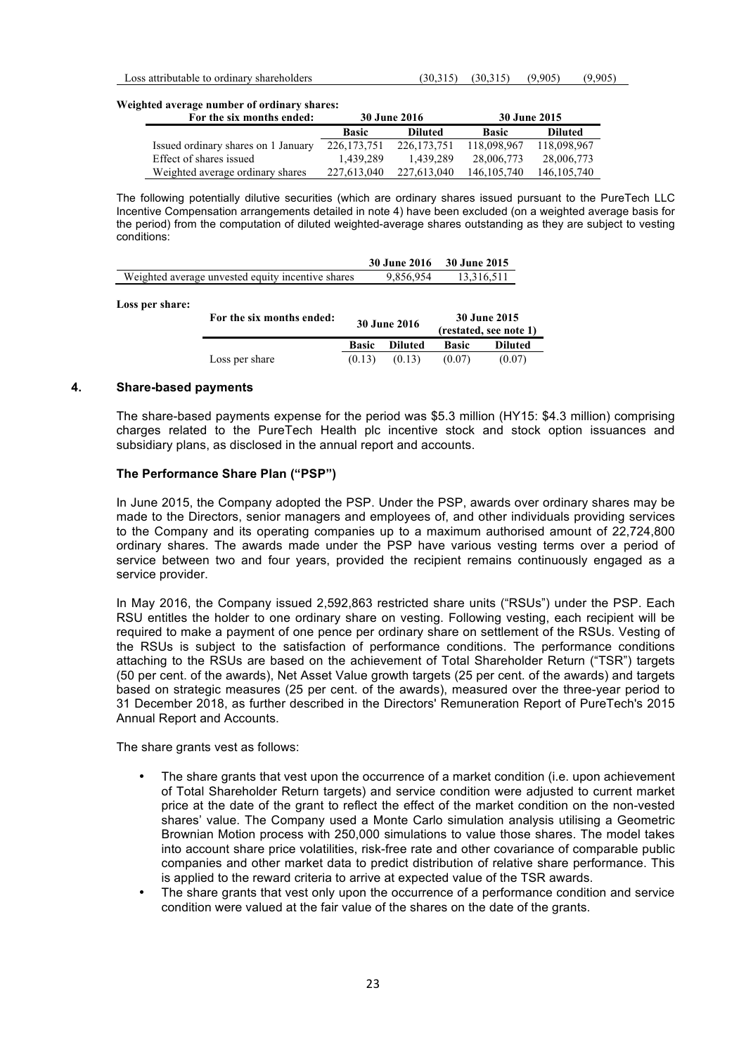| Weighted average number of ordinary shares: |                                            |                |               |                |  |  |  |  |
|---------------------------------------------|--------------------------------------------|----------------|---------------|----------------|--|--|--|--|
| For the six months ended:                   | <b>30 June 2016</b><br><b>30 June 2015</b> |                |               |                |  |  |  |  |
|                                             | <b>Basic</b>                               | <b>Diluted</b> | <b>Basic</b>  | <b>Diluted</b> |  |  |  |  |
| Issued ordinary shares on 1 January         | 226, 173, 751                              | 226.173.751    | 118,098,967   | 118,098,967    |  |  |  |  |
| Effect of shares issued                     | 1.439.289                                  | 1.439.289      | 28,006,773    | 28,006,773     |  |  |  |  |
| Weighted average ordinary shares            | 227,613,040                                | 227,613,040    | 146, 105, 740 | 146, 105, 740  |  |  |  |  |

The following potentially dilutive securities (which are ordinary shares issued pursuant to the PureTech LLC Incentive Compensation arrangements detailed in note 4) have been excluded (on a weighted average basis for the period) from the computation of diluted weighted-average shares outstanding as they are subject to vesting conditions:

|                                                   |           | 30 June 2016 30 June 2015 |
|---------------------------------------------------|-----------|---------------------------|
| Weighted average unvested equity incentive shares | 9,856,954 | 13,316,511                |

**Loss per share:**

| For the six months ended: |              | <b>30 June 2016</b> |              | 30 June 2015<br>(restated, see note 1) |  |  |  |
|---------------------------|--------------|---------------------|--------------|----------------------------------------|--|--|--|
|                           | <b>Basic</b> | <b>Diluted</b>      | <b>Basic</b> | <b>Diluted</b>                         |  |  |  |
| Loss per share            | (0.13)       | (0.13)              | (0.07)       | (0.07)                                 |  |  |  |

### **4. Share-based payments**

The share-based payments expense for the period was \$5.3 million (HY15: \$4.3 million) comprising charges related to the PureTech Health plc incentive stock and stock option issuances and subsidiary plans, as disclosed in the annual report and accounts.

# **The Performance Share Plan ("PSP")**

In June 2015, the Company adopted the PSP. Under the PSP, awards over ordinary shares may be made to the Directors, senior managers and employees of, and other individuals providing services to the Company and its operating companies up to a maximum authorised amount of 22,724,800 ordinary shares. The awards made under the PSP have various vesting terms over a period of service between two and four years, provided the recipient remains continuously engaged as a service provider.

In May 2016, the Company issued 2,592,863 restricted share units ("RSUs") under the PSP. Each RSU entitles the holder to one ordinary share on vesting. Following vesting, each recipient will be required to make a payment of one pence per ordinary share on settlement of the RSUs. Vesting of the RSUs is subject to the satisfaction of performance conditions. The performance conditions attaching to the RSUs are based on the achievement of Total Shareholder Return ("TSR") targets (50 per cent. of the awards), Net Asset Value growth targets (25 per cent. of the awards) and targets based on strategic measures (25 per cent. of the awards), measured over the three-year period to 31 December 2018, as further described in the Directors' Remuneration Report of PureTech's 2015 Annual Report and Accounts.

The share grants vest as follows:

- The share grants that vest upon the occurrence of a market condition (i.e. upon achievement of Total Shareholder Return targets) and service condition were adjusted to current market price at the date of the grant to reflect the effect of the market condition on the non-vested shares' value. The Company used a Monte Carlo simulation analysis utilising a Geometric Brownian Motion process with 250,000 simulations to value those shares. The model takes into account share price volatilities, risk-free rate and other covariance of comparable public companies and other market data to predict distribution of relative share performance. This is applied to the reward criteria to arrive at expected value of the TSR awards.
- The share grants that vest only upon the occurrence of a performance condition and service condition were valued at the fair value of the shares on the date of the grants.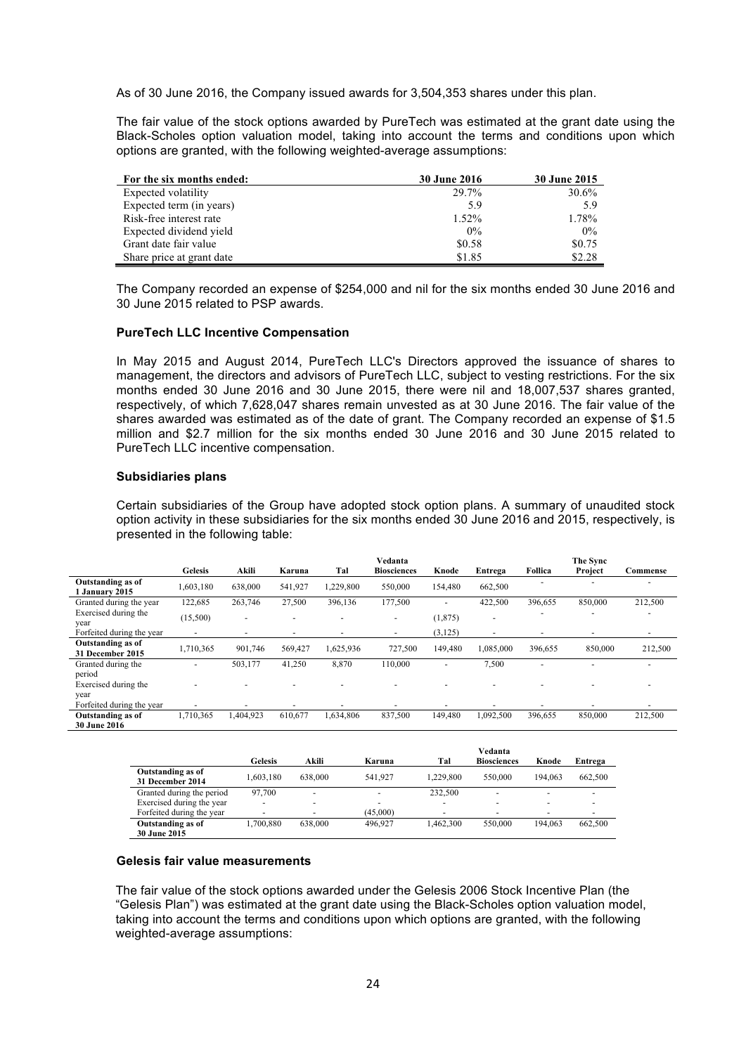As of 30 June 2016, the Company issued awards for 3,504,353 shares under this plan.

The fair value of the stock options awarded by PureTech was estimated at the grant date using the Black-Scholes option valuation model, taking into account the terms and conditions upon which options are granted, with the following weighted-average assumptions:

| For the six months ended: | <b>30 June 2016</b> | <b>30 June 2015</b> |
|---------------------------|---------------------|---------------------|
| Expected volatility       | 29.7%               | 30.6%               |
| Expected term (in years)  | 5.9                 | 5.9                 |
| Risk-free interest rate   | 1.52%               | 1.78%               |
| Expected dividend yield   | $0\%$               | 0%                  |
| Grant date fair value     | \$0.58              | \$0.75              |
| Share price at grant date | \$1.85              | \$2.28              |

The Company recorded an expense of \$254,000 and nil for the six months ended 30 June 2016 and 30 June 2015 related to PSP awards.

### **PureTech LLC Incentive Compensation**

In May 2015 and August 2014, PureTech LLC's Directors approved the issuance of shares to management, the directors and advisors of PureTech LLC, subject to vesting restrictions. For the six months ended 30 June 2016 and 30 June 2015, there were nil and 18,007,537 shares granted, respectively, of which 7,628,047 shares remain unvested as at 30 June 2016. The fair value of the shares awarded was estimated as of the date of grant. The Company recorded an expense of \$1.5 million and \$2.7 million for the six months ended 30 June 2016 and 30 June 2015 related to PureTech LLC incentive compensation.

#### **Subsidiaries plans**

Certain subsidiaries of the Group have adopted stock option plans. A summary of unaudited stock option activity in these subsidiaries for the six months ended 30 June 2016 and 2015, respectively, is presented in the following table:

|                                          |                |                          |         |           | Vedanta            |          |           |         | The Sync                 |                          |
|------------------------------------------|----------------|--------------------------|---------|-----------|--------------------|----------|-----------|---------|--------------------------|--------------------------|
|                                          | <b>Gelesis</b> | Akili                    | Karuna  | Tal       | <b>Biosciences</b> | Knode    | Entrega   | Follica | Project                  | Commense                 |
| Outstanding as of<br>1 January 2015      | 1,603,180      | 638,000                  | 541,927 | 1,229,800 | 550,000            | 154,480  | 662,500   |         |                          |                          |
| Granted during the year                  | 122,685        | 263,746                  | 27,500  | 396,136   | 177,500            | $\sim$   | 422,500   | 396,655 | 850,000                  | 212,500                  |
| Exercised during the<br>vear             | (15,500)       | $\overline{\phantom{0}}$ |         |           | ٠                  | (1, 875) | ٠         |         | $\overline{\phantom{0}}$ |                          |
| Forfeited during the year                |                |                          |         |           | ٠                  | (3, 125) | ٠         |         | ٠                        | $\overline{\phantom{a}}$ |
| Outstanding as of<br>31 December 2015    | 1,710,365      | 901,746                  | 569,427 | 1,625,936 | 727,500            | 149,480  | 1,085,000 | 396,655 | 850,000                  | 212,500                  |
| Granted during the                       |                | 503,177                  | 41,250  | 8,870     | 110,000            |          | 7,500     |         |                          |                          |
| period                                   |                |                          |         |           |                    |          |           |         |                          |                          |
| Exercised during the                     |                |                          |         |           |                    |          |           |         |                          |                          |
| vear                                     |                |                          |         |           |                    |          |           |         |                          |                          |
| Forfeited during the year                |                |                          |         |           |                    |          |           |         | -                        | $\overline{\phantom{0}}$ |
| <b>Outstanding as of</b><br>30 June 2016 | 1,710,365      | 1,404,923                | 610,677 | 1,634,806 | 837,500            | 149,480  | 1,092,500 | 396,655 | 850,000                  | 212,500                  |

|                                       |                |         |                          |                | Vedanta                  |                          |         |
|---------------------------------------|----------------|---------|--------------------------|----------------|--------------------------|--------------------------|---------|
|                                       | <b>Gelesis</b> | Akili   | Karuna                   | Tal            | <b>Biosciences</b>       | Knode                    | Entrega |
| Outstanding as of<br>31 December 2014 | 1.603.180      | 638,000 | 541.927                  | 1.229.800      | 550,000                  | 194.063                  | 662.500 |
| Granted during the period             | 97.700         | -       | $\overline{\phantom{a}}$ | 232.500        | $\overline{\phantom{a}}$ | $\overline{\phantom{0}}$ | -       |
| Exercised during the year             |                | -       | $\overline{\phantom{a}}$ | $\overline{a}$ | $\overline{\phantom{a}}$ | $\overline{\phantom{a}}$ | -       |
| Forfeited during the year             |                | -       | (45.000)                 | $\overline{a}$ | $\overline{a}$           | $\overline{a}$           | -       |
| Outstanding as of<br>30 June 2015     | 1.700.880      | 638,000 | 496.927                  | 1.462.300      | 550,000                  | 194.063                  | 662.500 |

#### **Gelesis fair value measurements**

The fair value of the stock options awarded under the Gelesis 2006 Stock Incentive Plan (the "Gelesis Plan") was estimated at the grant date using the Black-Scholes option valuation model, taking into account the terms and conditions upon which options are granted, with the following weighted-average assumptions: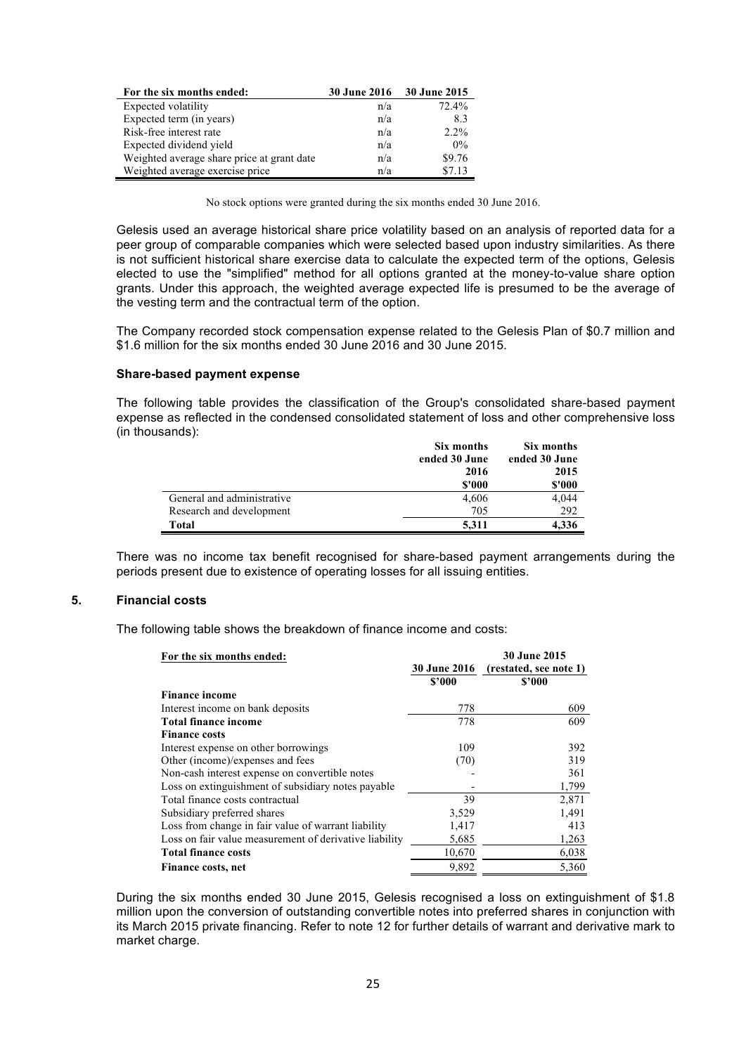| For the six months ended:                  |     | 30 June 2016 30 June 2015 |
|--------------------------------------------|-----|---------------------------|
| Expected volatility                        | n/a | 72.4%                     |
| Expected term (in years)                   | n/a | 8.3                       |
| Risk-free interest rate                    | n/a | $2.2\%$                   |
| Expected dividend yield                    | n/a | $0\%$                     |
| Weighted average share price at grant date | n/a | \$9.76                    |
| Weighted average exercise price            | n/a | \$7.13                    |

No stock options were granted during the six months ended 30 June 2016.

Gelesis used an average historical share price volatility based on an analysis of reported data for a peer group of comparable companies which were selected based upon industry similarities. As there is not sufficient historical share exercise data to calculate the expected term of the options, Gelesis elected to use the "simplified" method for all options granted at the money-to-value share option grants. Under this approach, the weighted average expected life is presumed to be the average of the vesting term and the contractual term of the option.

The Company recorded stock compensation expense related to the Gelesis Plan of \$0.7 million and \$1.6 million for the six months ended 30 June 2016 and 30 June 2015.

#### **Share-based payment expense**

The following table provides the classification of the Group's consolidated share-based payment expense as reflected in the condensed consolidated statement of loss and other comprehensive loss (in thousands):

|                            | Six months    | Six months    |
|----------------------------|---------------|---------------|
|                            | ended 30 June | ended 30 June |
|                            | 2016          | 2015          |
|                            | \$'000        | \$'000        |
| General and administrative | 4,606         | 4,044         |
| Research and development   | 705           | 292           |
| Total                      | 5.311         | 4,336         |

There was no income tax benefit recognised for share-based payment arrangements during the periods present due to existence of operating losses for all issuing entities.

### **5. Financial costs**

The following table shows the breakdown of finance income and costs:

| For the six months ended:                              |                     | <b>30 June 2015</b>    |
|--------------------------------------------------------|---------------------|------------------------|
|                                                        | <b>30 June 2016</b> | (restated, see note 1) |
|                                                        | \$2000              | \$2000                 |
| <b>Finance income</b>                                  |                     |                        |
| Interest income on bank deposits                       | 778                 | 609                    |
| <b>Total finance income</b>                            | 778                 | 609                    |
| <b>Finance costs</b>                                   |                     |                        |
| Interest expense on other borrowings                   | 109                 | 392                    |
| Other (income)/expenses and fees                       | (70)                | 319                    |
| Non-cash interest expense on convertible notes         |                     | 361                    |
| Loss on extinguishment of subsidiary notes payable     |                     | 1,799                  |
| Total finance costs contractual                        | 39                  | 2,871                  |
| Subsidiary preferred shares                            | 3,529               | 1,491                  |
| Loss from change in fair value of warrant liability    | 1,417               | 413                    |
| Loss on fair value measurement of derivative liability | 5,685               | 1,263                  |
| <b>Total finance costs</b>                             | 10,670              | 6,038                  |
| Finance costs, net                                     | 9,892               | 5,360                  |

During the six months ended 30 June 2015, Gelesis recognised a loss on extinguishment of \$1.8 million upon the conversion of outstanding convertible notes into preferred shares in conjunction with its March 2015 private financing. Refer to note 12 for further details of warrant and derivative mark to market charge.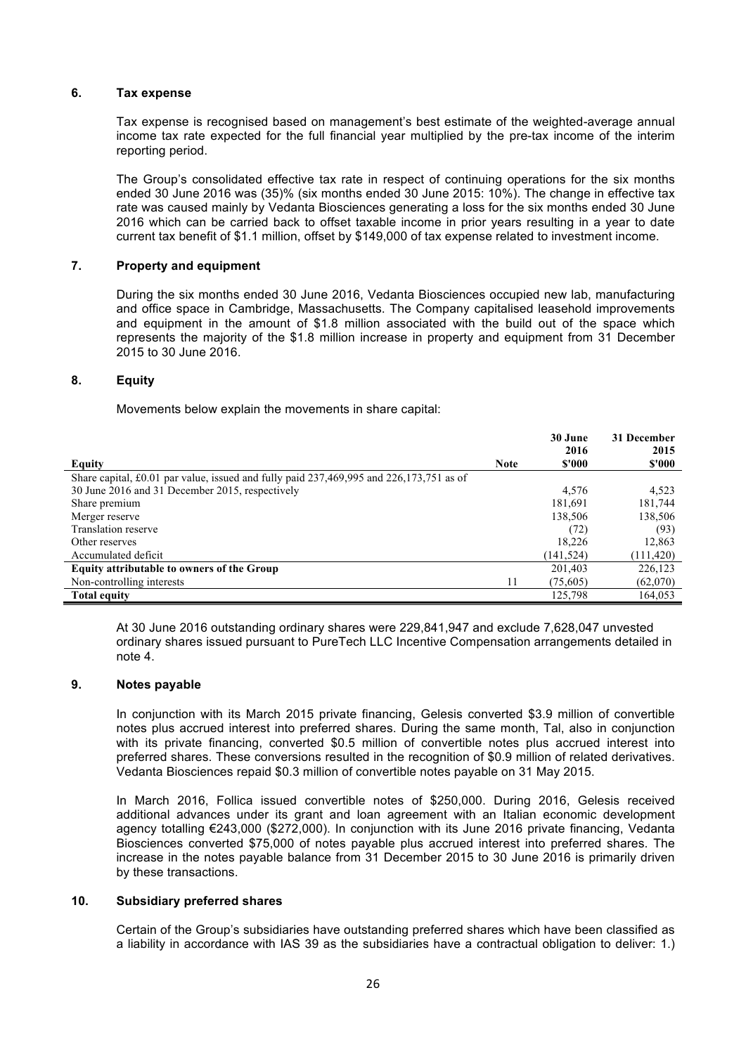# **6. Tax expense**

Tax expense is recognised based on management's best estimate of the weighted-average annual income tax rate expected for the full financial year multiplied by the pre-tax income of the interim reporting period.

The Group's consolidated effective tax rate in respect of continuing operations for the six months ended 30 June 2016 was (35)% (six months ended 30 June 2015: 10%). The change in effective tax rate was caused mainly by Vedanta Biosciences generating a loss for the six months ended 30 June 2016 which can be carried back to offset taxable income in prior years resulting in a year to date current tax benefit of \$1.1 million, offset by \$149,000 of tax expense related to investment income.

# **7. Property and equipment**

During the six months ended 30 June 2016, Vedanta Biosciences occupied new lab, manufacturing and office space in Cambridge, Massachusetts. The Company capitalised leasehold improvements and equipment in the amount of \$1.8 million associated with the build out of the space which represents the majority of the \$1.8 million increase in property and equipment from 31 December 2015 to 30 June 2016.

### **8. Equity**

Movements below explain the movements in share capital:

|                                                                                                  |             | 30 June<br>2016 | 31 December<br>2015 |
|--------------------------------------------------------------------------------------------------|-------------|-----------------|---------------------|
| Equity                                                                                           | <b>Note</b> | \$'000          | \$'000              |
| Share capital, $\pounds 0.01$ par value, issued and fully paid 237,469,995 and 226,173,751 as of |             |                 |                     |
| 30 June 2016 and 31 December 2015, respectively                                                  |             | 4,576           | 4,523               |
| Share premium                                                                                    |             | 181,691         | 181,744             |
| Merger reserve                                                                                   |             | 138,506         | 138,506             |
| Translation reserve                                                                              |             | (72)            | (93)                |
| Other reserves                                                                                   |             | 18,226          | 12,863              |
| Accumulated deficit                                                                              |             | (141, 524)      | (111, 420)          |
| <b>Equity attributable to owners of the Group</b>                                                |             | 201,403         | 226,123             |
| Non-controlling interests                                                                        | 11          | (75,605)        | (62,070)            |
| <b>Total equity</b>                                                                              |             | 125,798         | 164,053             |

At 30 June 2016 outstanding ordinary shares were 229,841,947 and exclude 7,628,047 unvested ordinary shares issued pursuant to PureTech LLC Incentive Compensation arrangements detailed in note 4.

### **9. Notes payable**

In conjunction with its March 2015 private financing, Gelesis converted \$3.9 million of convertible notes plus accrued interest into preferred shares. During the same month, Tal, also in conjunction with its private financing, converted \$0.5 million of convertible notes plus accrued interest into preferred shares. These conversions resulted in the recognition of \$0.9 million of related derivatives. Vedanta Biosciences repaid \$0.3 million of convertible notes payable on 31 May 2015.

In March 2016, Follica issued convertible notes of \$250,000. During 2016, Gelesis received additional advances under its grant and loan agreement with an Italian economic development agency totalling €243,000 (\$272,000). In conjunction with its June 2016 private financing, Vedanta Biosciences converted \$75,000 of notes payable plus accrued interest into preferred shares. The increase in the notes payable balance from 31 December 2015 to 30 June 2016 is primarily driven by these transactions.

## **10. Subsidiary preferred shares**

Certain of the Group's subsidiaries have outstanding preferred shares which have been classified as a liability in accordance with IAS 39 as the subsidiaries have a contractual obligation to deliver: 1.)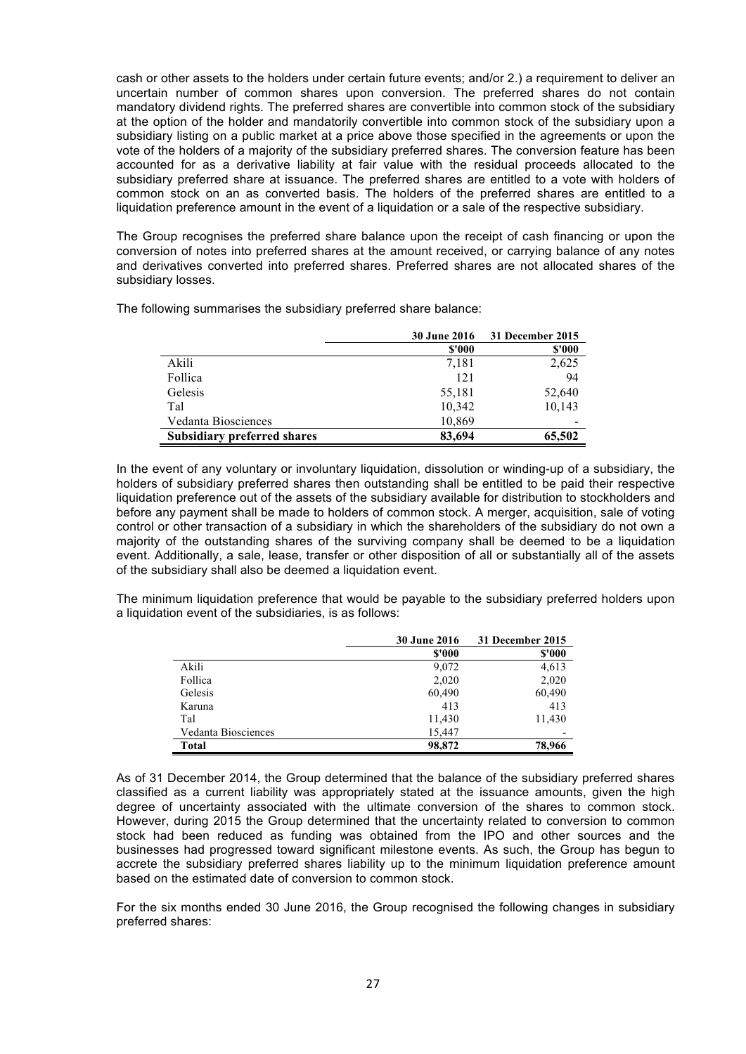cash or other assets to the holders under certain future events; and/or 2.) a requirement to deliver an uncertain number of common shares upon conversion. The preferred shares do not contain mandatory dividend rights. The preferred shares are convertible into common stock of the subsidiary at the option of the holder and mandatorily convertible into common stock of the subsidiary upon a subsidiary listing on a public market at a price above those specified in the agreements or upon the vote of the holders of a majority of the subsidiary preferred shares. The conversion feature has been accounted for as a derivative liability at fair value with the residual proceeds allocated to the subsidiary preferred share at issuance. The preferred shares are entitled to a vote with holders of common stock on an as converted basis. The holders of the preferred shares are entitled to a liquidation preference amount in the event of a liquidation or a sale of the respective subsidiary.

The Group recognises the preferred share balance upon the receipt of cash financing or upon the conversion of notes into preferred shares at the amount received, or carrying balance of any notes and derivatives converted into preferred shares. Preferred shares are not allocated shares of the subsidiary losses.

The following summarises the subsidiary preferred share balance:

|                                    | <b>30 June 2016</b> | 31 December 2015 |
|------------------------------------|---------------------|------------------|
|                                    | \$'000              | \$'000           |
| Akili                              | 7.181               | 2,625            |
| Follica                            | 121                 | 94               |
| Gelesis                            | 55,181              | 52,640           |
| Tal                                | 10,342              | 10,143           |
| Vedanta Biosciences                | 10,869              |                  |
| <b>Subsidiary preferred shares</b> | 83,694              | 65,502           |

In the event of any voluntary or involuntary liquidation, dissolution or winding-up of a subsidiary, the holders of subsidiary preferred shares then outstanding shall be entitled to be paid their respective liquidation preference out of the assets of the subsidiary available for distribution to stockholders and before any payment shall be made to holders of common stock. A merger, acquisition, sale of voting control or other transaction of a subsidiary in which the shareholders of the subsidiary do not own a majority of the outstanding shares of the surviving company shall be deemed to be a liquidation event. Additionally, a sale, lease, transfer or other disposition of all or substantially all of the assets of the subsidiary shall also be deemed a liquidation event.

The minimum liquidation preference that would be payable to the subsidiary preferred holders upon a liquidation event of the subsidiaries, is as follows:

|                     | <b>30 June 2016</b> | 31 December 2015 |
|---------------------|---------------------|------------------|
|                     | \$'000              | \$'000           |
| Akili               | 9,072               | 4,613            |
| Follica             | 2,020               | 2,020            |
| Gelesis             | 60,490              | 60,490           |
| Karuna              | 413                 | 413              |
| Tal                 | 11,430              | 11,430           |
| Vedanta Biosciences | 15,447              |                  |
| Total               | 98,872              | 78,966           |

As of 31 December 2014, the Group determined that the balance of the subsidiary preferred shares classified as a current liability was appropriately stated at the issuance amounts, given the high degree of uncertainty associated with the ultimate conversion of the shares to common stock. However, during 2015 the Group determined that the uncertainty related to conversion to common stock had been reduced as funding was obtained from the IPO and other sources and the businesses had progressed toward significant milestone events. As such, the Group has begun to accrete the subsidiary preferred shares liability up to the minimum liquidation preference amount based on the estimated date of conversion to common stock.

For the six months ended 30 June 2016, the Group recognised the following changes in subsidiary preferred shares: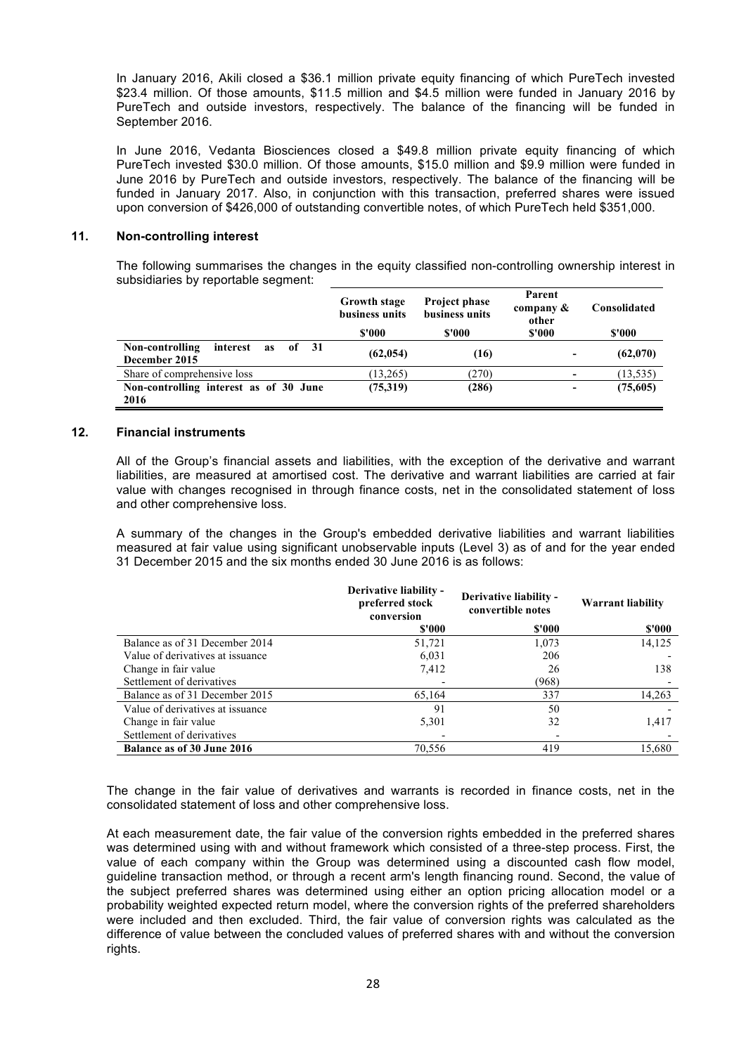In January 2016, Akili closed a \$36.1 million private equity financing of which PureTech invested \$23.4 million. Of those amounts, \$11.5 million and \$4.5 million were funded in January 2016 by PureTech and outside investors, respectively. The balance of the financing will be funded in September 2016.

In June 2016, Vedanta Biosciences closed a \$49.8 million private equity financing of which PureTech invested \$30.0 million. Of those amounts, \$15.0 million and \$9.9 million were funded in June 2016 by PureTech and outside investors, respectively. The balance of the financing will be funded in January 2017. Also, in conjunction with this transaction, preferred shares were issued upon conversion of \$426,000 of outstanding convertible notes, of which PureTech held \$351,000.

### **11. Non-controlling interest**

The following summarises the changes in the equity classified non-controlling ownership interest in subsidiaries by reportable segment:

|                                                                       | <b>Growth stage</b><br>business units<br>\$'000 | <b>Project phase</b><br>business units<br>\$'000 | Parent<br>company &<br>other<br>\$'000 | <b>Consolidated</b><br>\$'000 |
|-----------------------------------------------------------------------|-------------------------------------------------|--------------------------------------------------|----------------------------------------|-------------------------------|
| 31<br>Non-controlling<br>interest<br>of<br><b>as</b><br>December 2015 | (62, 054)                                       | (16)                                             | -                                      | (62,070)                      |
| Share of comprehensive loss                                           | (13, 265)                                       | (270)                                            |                                        | (13, 535)                     |
| Non-controlling interest as of 30 June<br>2016                        | (75,319)                                        | (286)                                            | -                                      | (75,605)                      |

# **12. Financial instruments**

All of the Group's financial assets and liabilities, with the exception of the derivative and warrant liabilities, are measured at amortised cost. The derivative and warrant liabilities are carried at fair value with changes recognised in through finance costs, net in the consolidated statement of loss and other comprehensive loss.

A summary of the changes in the Group's embedded derivative liabilities and warrant liabilities measured at fair value using significant unobservable inputs (Level 3) as of and for the year ended 31 December 2015 and the six months ended 30 June 2016 is as follows:

| Derivative liability -<br>preferred stock<br>Warrant liability<br>convertible notes<br>conversion |        |
|---------------------------------------------------------------------------------------------------|--------|
| \$'000<br>\$'000                                                                                  | \$'000 |
| Balance as of 31 December 2014<br>1,073<br>51,721                                                 | 14,125 |
| Value of derivatives at issuance<br>6,031<br>206                                                  |        |
| 7,412<br>Change in fair value<br>26                                                               | 138    |
| Settlement of derivatives<br>(968)                                                                |        |
| 337<br>Balance as of 31 December 2015<br>65,164                                                   | 14,263 |
| Value of derivatives at issuance<br>91<br>50                                                      |        |
| 32<br>Change in fair value<br>5,301                                                               | 1,417  |
| Settlement of derivatives                                                                         |        |
| <b>Balance as of 30 June 2016</b><br>70,556<br>419                                                | 15,680 |

The change in the fair value of derivatives and warrants is recorded in finance costs, net in the consolidated statement of loss and other comprehensive loss.

At each measurement date, the fair value of the conversion rights embedded in the preferred shares was determined using with and without framework which consisted of a three-step process. First, the value of each company within the Group was determined using a discounted cash flow model, guideline transaction method, or through a recent arm's length financing round. Second, the value of the subject preferred shares was determined using either an option pricing allocation model or a probability weighted expected return model, where the conversion rights of the preferred shareholders were included and then excluded. Third, the fair value of conversion rights was calculated as the difference of value between the concluded values of preferred shares with and without the conversion rights.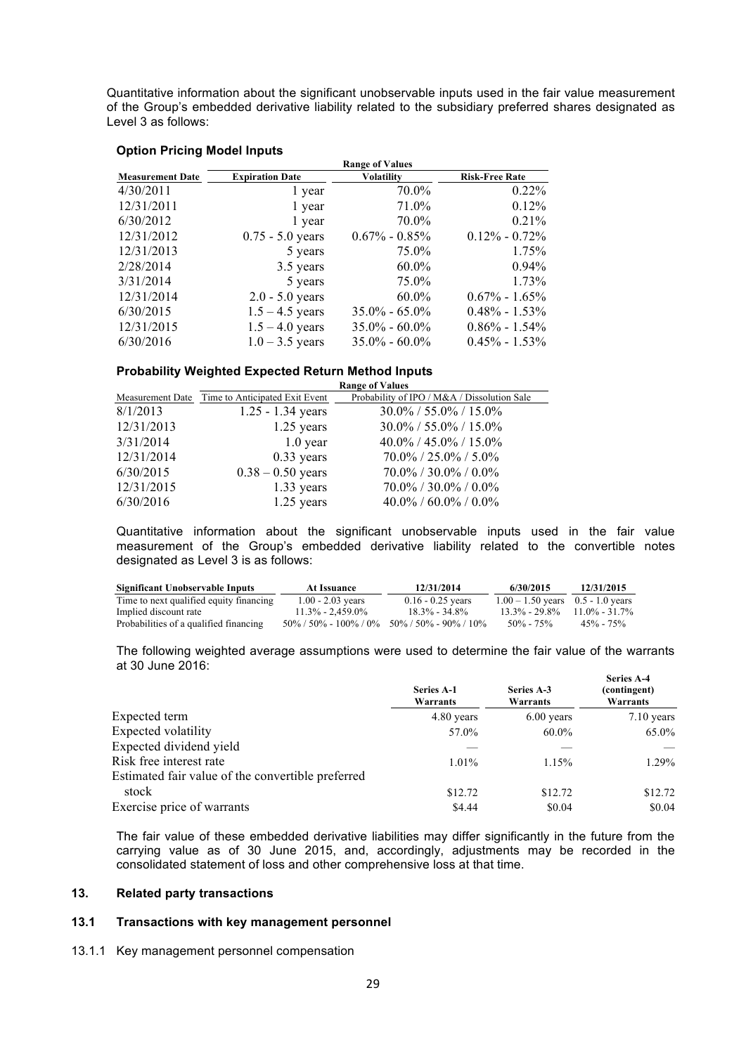Quantitative information about the significant unobservable inputs used in the fair value measurement of the Group's embedded derivative liability related to the subsidiary preferred shares designated as Level 3 as follows:

|                         | <b>Range of Values</b> |                   |                       |  |
|-------------------------|------------------------|-------------------|-----------------------|--|
| <b>Measurement Date</b> | <b>Expiration Date</b> | <b>Volatility</b> | <b>Risk-Free Rate</b> |  |
| 4/30/2011               | 1 year                 | 70.0%             | $0.22\%$              |  |
| 12/31/2011              | 1 year                 | 71.0%             | 0.12%                 |  |
| 6/30/2012               | 1 year                 | 70.0%             | 0.21%                 |  |
| 12/31/2012              | $0.75 - 5.0$ years     | $0.67\% - 0.85\%$ | $0.12\% - 0.72\%$     |  |
| 12/31/2013              | 5 years                | 75.0%             | 1.75%                 |  |
| 2/28/2014               | 3.5 years              | $60.0\%$          | $0.94\%$              |  |
| 3/31/2014               | 5 years                | 75.0%             | 1.73%                 |  |
| 12/31/2014              | $2.0 - 5.0$ years      | $60.0\%$          | $0.67\% - 1.65\%$     |  |
| 6/30/2015               | $1.5 - 4.5$ years      | $35.0\% - 65.0\%$ | $0.48\% - 1.53\%$     |  |
| 12/31/2015              | $1.5 - 4.0$ years      | $35.0\% - 60.0\%$ | $0.86\% - 1.54\%$     |  |
| 6/30/2016               | $1.0 - 3.5$ years      | $35.0\% - 60.0\%$ | $0.45\% - 1.53\%$     |  |

# **Option Pricing Model Inputs**

## **Probability Weighted Expected Return Method Inputs**

|            | <b>Range of Values</b>                          |                                             |  |  |
|------------|-------------------------------------------------|---------------------------------------------|--|--|
|            | Measurement Date Time to Anticipated Exit Event | Probability of IPO / M&A / Dissolution Sale |  |  |
| 8/1/2013   | $1.25 - 1.34$ years                             | $30.0\%$ / 55.0% / 15.0%                    |  |  |
| 12/31/2013 | $1.25$ years                                    | $30.0\%$ / 55.0% / 15.0%                    |  |  |
| 3/31/2014  | $1.0$ year                                      | $40.0\%$ / $45.0\%$ / $15.0\%$              |  |  |
| 12/31/2014 | $0.33$ years                                    | $70.0\%$ / 25.0% / 5.0%                     |  |  |
| 6/30/2015  | $0.38 - 0.50$ years                             | $70.0\%$ / 30.0% / 0.0%                     |  |  |
| 12/31/2015 | $1.33$ years                                    | $70.0\%$ / 30.0% / 0.0%                     |  |  |
| 6/30/2016  | $1.25$ years                                    | $40.0\%$ / 60.0% / 0.0%                     |  |  |

Quantitative information about the significant unobservable inputs used in the fair value measurement of the Group's embedded derivative liability related to the convertible notes designated as Level 3 is as follows:

| <b>Significant Unobservable Inputs</b>  | At Issuance          | 12/31/2014                                              | 6/30/2015                             | 12/31/2015    |
|-----------------------------------------|----------------------|---------------------------------------------------------|---------------------------------------|---------------|
| Time to next qualified equity financing | $1.00 - 2.03$ years  | $0.16 - 0.25$ years                                     | $1.00 - 1.50$ years $0.5 - 1.0$ years |               |
| Implied discount rate                   | $11.3\% - 2.459.0\%$ | $18.3\% - 34.8\%$                                       | $13.3\% - 29.8\% - 11.0\% - 31.7\%$   |               |
| Probabilities of a qualified financing  |                      | $50\% / 50\% - 100\% / 0\% - 50\% / 50\% - 90\% / 10\%$ | $50\% - 75\%$                         | $45\% - 75\%$ |

The following weighted average assumptions were used to determine the fair value of the warrants at 30 June 2016:

|                                                   | <b>Series A-1</b><br>Warrants | Series A-3<br>Warrants | <b>Series A-4</b><br>(contingent)<br>Warrants |
|---------------------------------------------------|-------------------------------|------------------------|-----------------------------------------------|
| Expected term                                     | 4.80 years                    | $6.00$ years           | $7.10$ years                                  |
| Expected volatility                               | 57.0%                         | $60.0\%$               | 65.0%                                         |
| Expected dividend yield                           |                               |                        |                                               |
| Risk free interest rate                           | $1.01\%$                      | 1.15%                  | 1.29%                                         |
| Estimated fair value of the convertible preferred |                               |                        |                                               |
| stock                                             | \$12.72                       | \$12.72                | \$12.72                                       |
| Exercise price of warrants                        | \$4.44                        | \$0.04                 | \$0.04                                        |

The fair value of these embedded derivative liabilities may differ significantly in the future from the carrying value as of 30 June 2015, and, accordingly, adjustments may be recorded in the consolidated statement of loss and other comprehensive loss at that time.

# **13. Related party transactions**

### **13.1 Transactions with key management personnel**

13.1.1 Key management personnel compensation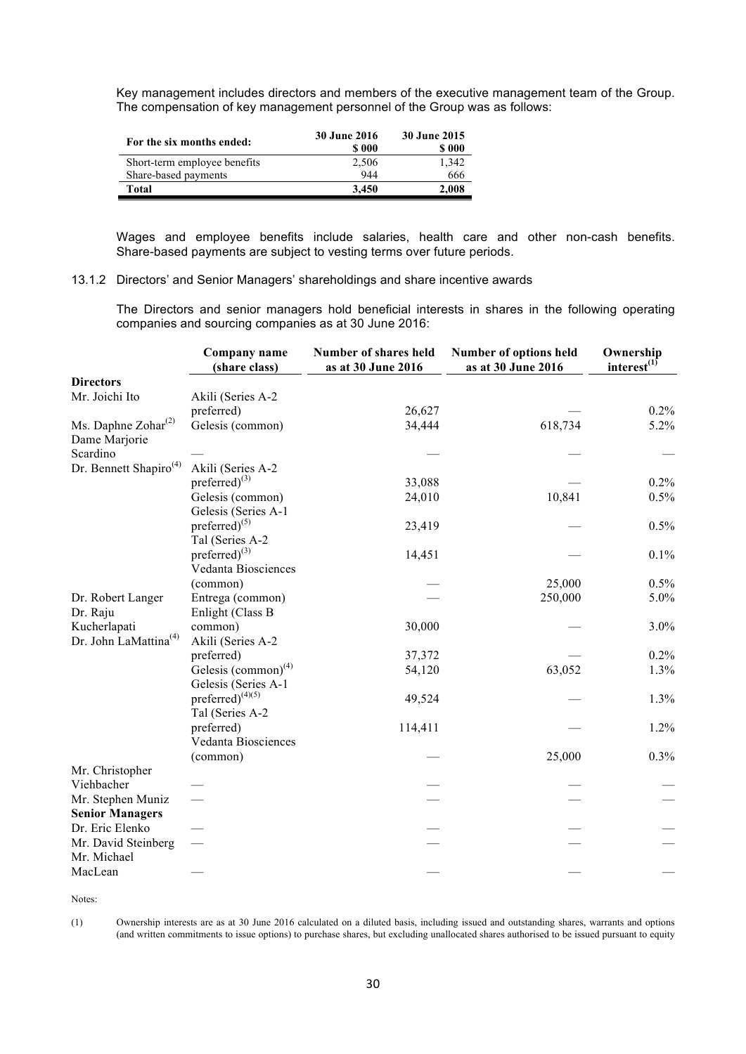Key management includes directors and members of the executive management team of the Group. The compensation of key management personnel of the Group was as follows:

| For the six months ended:    | <b>30 June 2016</b> | 30 June 2015 |  |
|------------------------------|---------------------|--------------|--|
|                              | \$ 000              | \$ 000       |  |
| Short-term employee benefits | 2.506               | 1.342        |  |
| Share-based payments         | 944                 | 666          |  |
| <b>Total</b>                 | 3.450               | 2.008        |  |

Wages and employee benefits include salaries, health care and other non-cash benefits. Share-based payments are subject to vesting terms over future periods.

### 13.1.2 Directors' and Senior Managers' shareholdings and share incentive awards

The Directors and senior managers hold beneficial interests in shares in the following operating companies and sourcing companies as at 30 June 2016:

|                                    | Company name<br>(share class)   | Number of shares held<br>as at 30 June 2016 | Number of options held<br>as at 30 June 2016 | Ownership<br>interest <sup>(1)</sup> |
|------------------------------------|---------------------------------|---------------------------------------------|----------------------------------------------|--------------------------------------|
| <b>Directors</b>                   |                                 |                                             |                                              |                                      |
| Mr. Joichi Ito                     | Akili (Series A-2               |                                             |                                              |                                      |
|                                    | preferred)                      | 26,627                                      |                                              | $0.2\%$                              |
| Ms. Daphne Zohar <sup>(2)</sup>    | Gelesis (common)                | 34,444                                      | 618,734                                      | 5.2%                                 |
| Dame Marjorie                      |                                 |                                             |                                              |                                      |
| Scardino                           |                                 |                                             |                                              |                                      |
| Dr. Bennett Shapiro <sup>(4)</sup> | Akili (Series A-2               |                                             |                                              |                                      |
|                                    | preferred $(3)$                 | 33,088                                      |                                              | 0.2%                                 |
|                                    | Gelesis (common)                | 24,010                                      | 10,841                                       | 0.5%                                 |
|                                    | Gelesis (Series A-1             |                                             |                                              |                                      |
|                                    | preferred $(5)$                 | 23,419                                      |                                              | 0.5%                                 |
|                                    | Tal (Series A-2                 |                                             |                                              |                                      |
|                                    | preferred $(3)$                 | 14,451                                      |                                              | 0.1%                                 |
|                                    | Vedanta Biosciences             |                                             |                                              |                                      |
|                                    | (common)                        |                                             | 25,000                                       | $0.5\%$                              |
| Dr. Robert Langer                  | Entrega (common)                |                                             | 250,000                                      | 5.0%                                 |
| Dr. Raju                           | Enlight (Class B                |                                             |                                              |                                      |
| Kucherlapati                       | common)                         | 30,000                                      |                                              | 3.0%                                 |
| Dr. John LaMattina <sup>(4)</sup>  | Akili (Series A-2               |                                             |                                              |                                      |
|                                    | preferred)                      | 37,372                                      |                                              | 0.2%                                 |
|                                    | Gelesis (common) <sup>(4)</sup> | 54,120                                      | 63,052                                       | 1.3%                                 |
|                                    | Gelesis (Series A-1             |                                             |                                              |                                      |
|                                    | $preferred)^{(4)(5)}$           | 49,524                                      |                                              | 1.3%                                 |
|                                    | Tal (Series A-2                 |                                             |                                              |                                      |
|                                    | preferred)                      | 114,411                                     |                                              | 1.2%                                 |
|                                    | Vedanta Biosciences             |                                             |                                              |                                      |
|                                    | (common)                        |                                             | 25,000                                       | 0.3%                                 |
| Mr. Christopher                    |                                 |                                             |                                              |                                      |
| Viehbacher                         |                                 |                                             |                                              |                                      |
| Mr. Stephen Muniz                  |                                 |                                             |                                              |                                      |
| <b>Senior Managers</b>             |                                 |                                             |                                              |                                      |
| Dr. Eric Elenko                    |                                 |                                             |                                              |                                      |
| Mr. David Steinberg                |                                 |                                             |                                              |                                      |
| Mr. Michael                        |                                 |                                             |                                              |                                      |
| MacLean                            |                                 |                                             |                                              |                                      |

Notes:

(1) Ownership interests are as at 30 June 2016 calculated on a diluted basis, including issued and outstanding shares, warrants and options (and written commitments to issue options) to purchase shares, but excluding unallocated shares authorised to be issued pursuant to equity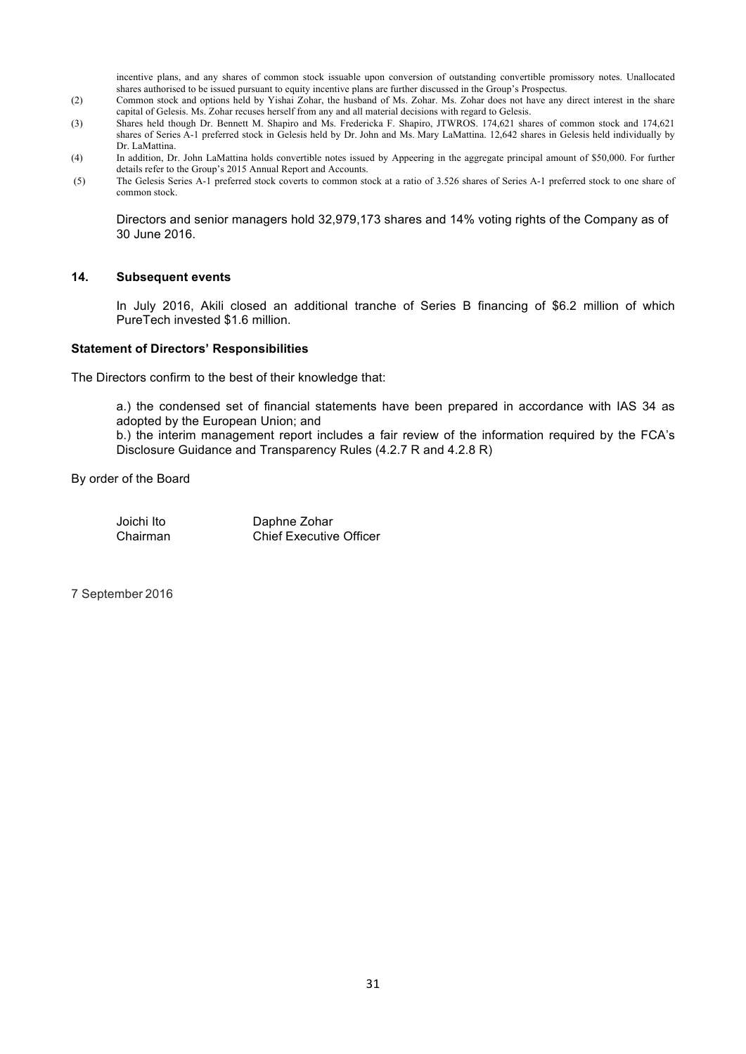incentive plans, and any shares of common stock issuable upon conversion of outstanding convertible promissory notes. Unallocated shares authorised to be issued pursuant to equity incentive plans are further discussed in the Group's Prospectus.

- (2) Common stock and options held by Yishai Zohar, the husband of Ms. Zohar. Ms. Zohar does not have any direct interest in the share capital of Gelesis. Ms. Zohar recuses herself from any and all material decisions with regard to Gelesis.
- (3) Shares held though Dr. Bennett M. Shapiro and Ms. Fredericka F. Shapiro, JTWROS. 174,621 shares of common stock and 174,621 shares of Series A-1 preferred stock in Gelesis held by Dr. John and Ms. Mary LaMattina. 12,642 shares in Gelesis held individually by Dr. LaMattina.
- (4) In addition, Dr. John LaMattina holds convertible notes issued by Appeering in the aggregate principal amount of \$50,000. For further details refer to the Group's 2015 Annual Report and Accounts.
- (5) The Gelesis Series A-1 preferred stock coverts to common stock at a ratio of 3.526 shares of Series A-1 preferred stock to one share of common stock.

Directors and senior managers hold 32,979,173 shares and 14% voting rights of the Company as of 30 June 2016.

### **14. Subsequent events**

In July 2016, Akili closed an additional tranche of Series B financing of \$6.2 million of which PureTech invested \$1.6 million.

### **Statement of Directors' Responsibilities**

The Directors confirm to the best of their knowledge that:

a.) the condensed set of financial statements have been prepared in accordance with IAS 34 as adopted by the European Union; and

b.) the interim management report includes a fair review of the information required by the FCA's Disclosure Guidance and Transparency Rules (4.2.7 R and 4.2.8 R)

By order of the Board

Joichi Ito Chairman Daphne Zohar Chief Executive Officer

7 September 2016